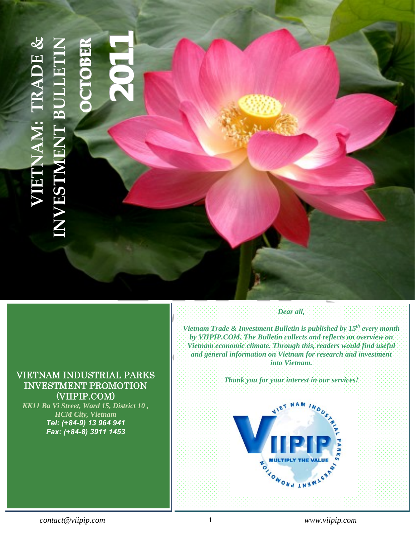# **1AM: TRADE & [INVESTMENT](http://www.viipip.com/homeen/) BULLETIN RREE[20](http://www.viipip.com/homeen/)1 VIETNAM: TRADE BBOOTTCCOO** $\mathbf{r}$ **NEWISEA**

# <span id="page-0-0"></span>VIETNAM INDUSTRIAL PARKS INVESTMENT PROMOTION (VIIPIP.COM)

*KK11 Ba Vi Street, Ward 15, District 10 , HCM City, Vietnam Tel: (+84-9) 13 964 941 Fax: (+84-8) 3911 1453* 

# *Dear all,*

*Vietnam Trade & Investment Bulletin is published by 15<sup>th</sup> every month by VIIPIP.COM. The Bulletin collects and reflects an overview on Vietnam economic climate. Through this, readers would find useful and general information on Vietnam for research and investment into Vietnam.* 

**INDOCHINA INTERNATIONAL CONSULTING CO., LTD.** 

KK11, Ba Vi, Ward 15, District 10, Ho Chi Minh City Tel: (+ 84-8) 3507 9327 – Fax: (+ 84-8) 3911 1453

*Thank you for your interest in our services!* 

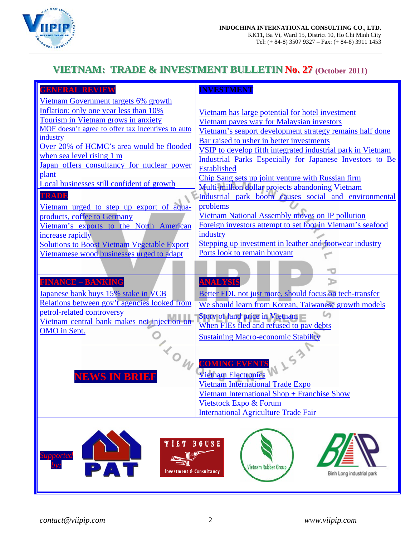

# **VIETNAM: TRADE & INVESTMENT BULLETIN No. 27 (October 2011)**

| <b>GENERAL REVIEW</b>                              | <b>INVESTMENT</b>                                                                |
|----------------------------------------------------|----------------------------------------------------------------------------------|
| Vietnam Government targets 6% growth               |                                                                                  |
| Inflation: only one year less than 10%             | Vietnam has large potential for hotel investment                                 |
| Tourism in Vietnam grows in anxiety                | Vietnam paves way for Malaysian investors                                        |
| MOF doesn't agree to offer tax incentives to auto  | Vietnam's seaport development strategy remains half done                         |
| industry                                           | Bar raised to usher in better investments                                        |
| Over 20% of HCMC's area would be flooded           | VSIP to develop fifth integrated industrial park in Vietnam                      |
| when sea level rising 1 m                          | Industrial Parks Especially for Japanese Investors to Be                         |
| Japan offers consultancy for nuclear power         | <b>Established</b>                                                               |
| plant                                              | Chip Sang sets up joint venture with Russian firm                                |
| Local businesses still confident of growth         | Multi-million dollar projects abandoning Vietnam                                 |
| <b>TRADE</b>                                       | Industrial park boom causes social and environmental                             |
| Vietnam urged to step up export of aqua-           | problems                                                                         |
| products, coffee to Germany                        | <b>Vietnam National Assembly moves on IP pollution</b>                           |
| Vietnam's exports to the North American            | Foreign investors attempt to set foot in Vietnam's seafood                       |
| increase rapidly                                   | industry                                                                         |
| <b>Solutions to Boost Vietnam Vegetable Export</b> | Stepping up investment in leather and footwear industry                          |
| Vietnamese wood businesses urged to adapt          | Ports look to remain buoyant                                                     |
|                                                    |                                                                                  |
|                                                    |                                                                                  |
| <b>FINANCE - BANKING</b>                           | <b>ANALYSIS</b>                                                                  |
| Japanese bank buys 15% stake in VCB                | Better FDI, not just more, should focus on tech-transfer                         |
| Relations between gov't agencies looked from       | We should learn from Korean, Taiwanese growth models                             |
| petrol-related controversy                         |                                                                                  |
| Vietnam central bank makes net injection on        | <b>Story of land price in Vietnam</b><br>When FIEs fled and refused to pay debts |
| OMO in Sept.                                       |                                                                                  |
|                                                    | <b>Sustaining Macro-economic Stability</b>                                       |
|                                                    |                                                                                  |
|                                                    | V153                                                                             |
|                                                    |                                                                                  |
| <b>NEWS IN BRIER</b>                               | <b>Vietnam Electronics</b>                                                       |
|                                                    | <b>Vietnam International Trade Expo</b>                                          |
|                                                    | Vietnam International Shop + Franchise Show                                      |
|                                                    | <b>Vietstock Expo &amp; Forum</b>                                                |
|                                                    | <b>International Agriculture Trade Fair</b>                                      |
|                                                    |                                                                                  |
|                                                    |                                                                                  |
| Y I E T                                            | HOUSE                                                                            |
| <b>Supported</b><br>allin                          |                                                                                  |
| PA                                                 | <b>Vietnam Rubber Group</b>                                                      |
| <b>Investment &amp; Consultancy</b>                | Binh Long industrial park                                                        |
|                                                    |                                                                                  |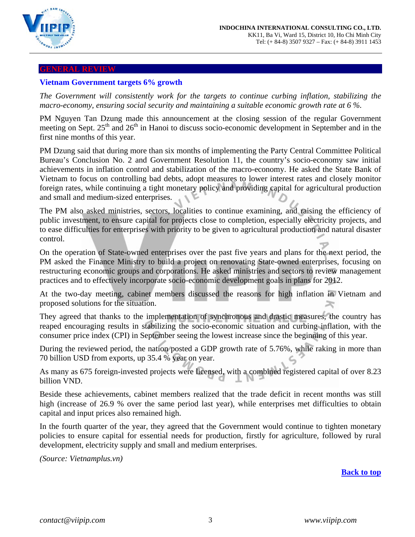

#### <span id="page-2-0"></span>**GENERAL REVIEW**

## **Vietnam Government targets 6% growth**

<span id="page-2-1"></span>*The Government will consistently work for the targets to continue curbing inflation, stabilizing the macro-economy, ensuring social security and maintaining a suitable economic growth rate at 6 %.* 

PM Nguyen Tan Dzung made this announcement at the closing session of the regular Government meeting on Sept. 25<sup>th</sup> and 26<sup>th</sup> in Hanoi to discuss socio-economic development in September and in the first nine months of this year.

PM Dzung said that during more than six months of implementing the Party Central Committee Political Bureau's Conclusion No. 2 and Government Resolution 11, the country's socio-economy saw initial achievements in inflation control and stabilization of the macro-economy. He asked the State Bank of Vietnam to focus on controlling bad debts, adopt measures to lower interest rates and closely monitor foreign rates, while continuing a tight monetary policy and providing capital for agricultural production and small and medium-sized enterprises.

The PM also asked ministries, sectors, localities to continue examining, and raising the efficiency of public investment, to ensure capital for projects close to completion, especially electricity projects, and to ease difficulties for enterprises with priority to be given to agricultural production and natural disaster control.

On the operation of State-owned enterprises over the past five years and plans for the next period, the PM asked the Finance Ministry to build a project on renovating State-owned enterprises, focusing on restructuring economic groups and corporations. He asked ministries and sectors to review management practices and to effectively incorporate socio-economic development goals in plans for 2012.

At the two-day meeting, cabinet members discussed the reasons for high inflation in Vietnam and proposed solutions for the situation. ≍

They agreed that thanks to the implementation of synchronous and drastic measures, the country has reaped encouraging results in stabilizing the socio-economic situation and curbing inflation, with the consumer price index (CPI) in September seeing the lowest increase since the beginning of this year.

During the reviewed period, the nation posted a GDP growth rate of 5.76%, while raking in more than 70 billion USD from exports, up 35.4 % year on year.

As many as 675 foreign-invested projects were licensed, with a combined registered capital of over 8.23 billion VND.

Beside these achievements, cabinet members realized that the trade deficit in recent months was still high (increase of 26.9 % over the same period last year), while enterprises met difficulties to obtain capital and input prices also remained high.

In the fourth quarter of the year, they agreed that the Government would continue to tighten monetary policies to ensure capital for essential needs for production, firstly for agriculture, followed by rural development, electricity supply and small and medium enterprises.

*(Source: Vietnamplus.vn)* 

**[Back to top](#page-0-0)**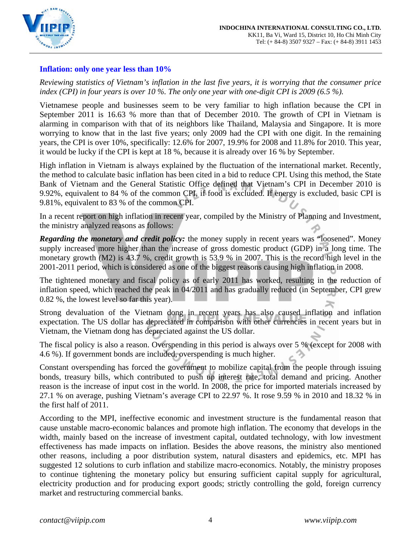

## <span id="page-3-0"></span>**Inflation: only one year less than 10%**

*Reviewing statistics of Vietnam's inflation in the last five years, it is worrying that the consumer price index (CPI) in four years is over 10 %. The only one year with one-digit CPI is 2009 (6.5 %).* 

Vietnamese people and businesses seem to be very familiar to high inflation because the CPI in September 2011 is 16.63 % more than that of December 2010. The growth of CPI in Vietnam is alarming in comparison with that of its neighbors like Thailand, Malaysia and Singapore. It is more worrying to know that in the last five years; only 2009 had the CPI with one digit. In the remaining years, the CPI is over 10%, specifically: 12.6% for 2007, 19.9% for 2008 and 11.8% for 2010. This year, it would be lucky if the CPI is kept at 18 %, because it is already over 16 % by September.

High inflation in Vietnam is always explained by the fluctuation of the international market. Recently, the method to calculate basic inflation has been cited in a bid to reduce CPI. Using this method, the State Bank of Vietnam and the General Statistic Office defined that Vietnam's CPI in December 2010 is 9.92%, equivalent to 84 % of the common CPI, if food is excluded. If energy is excluded, basic CPI is 9.81%, equivalent to 83 % of the common CPI.

In a recent report on high inflation in recent year, compiled by the Ministry of Planning and Investment, the ministry analyzed reasons as follows:

*Regarding the monetary and credit policy:* the money supply in recent years was "loosened". Money supply increased more higher than the increase of gross domestic product (GDP) in a long time. The monetary growth (M2) is 43.7 %, credit growth is 53.9 % in 2007. This is the record high level in the 2001-2011 period, which is considered as one of the biggest reasons causing high inflation in 2008.

The tightened monetary and fiscal policy as of early 2011 has worked, resulting in the reduction of inflation speed, which reached the peak in 04/2011 and has gradually reduced (in September, CPI grew 0.82 %, the lowest level so far this year).

Strong devaluation of the Vietnam dong in recent years has also caused inflation and inflation expectation. The US dollar has depreciated in comparison with other currencies in recent years but in Vietnam, the Vietnam dong has depreciated against the US dollar.

The fiscal policy is also a reason. Overspending in this period is always over 5 % (except for 2008 with 4.6 %). If government bonds are included, overspending is much higher.

Constant overspending has forced the government to mobilize capital from the people through issuing bonds, treasury bills, which contributed to push up interest rate, total demand and pricing. Another reason is the increase of input cost in the world. In 2008, the price for imported materials increased by 27.1 % on average, pushing Vietnam's average CPI to 22.97 %. It rose 9.59 % in 2010 and 18.32 % in the first half of 2011.

According to the MPI, ineffective economic and investment structure is the fundamental reason that cause unstable macro-economic balances and promote high inflation. The economy that develops in the width, mainly based on the increase of investment capital, outdated technology, with low investment effectiveness has made impacts on inflation. Besides the above reasons, the ministry also mentioned other reasons, including a poor distribution system, natural disasters and epidemics, etc. MPI has suggested 12 solutions to curb inflation and stabilize macro-economics. Notably, the ministry proposes to continue tightening the monetary policy but ensuring sufficient capital supply for agricultural, electricity production and for producing export goods; strictly controlling the gold, foreign currency market and restructuring commercial banks.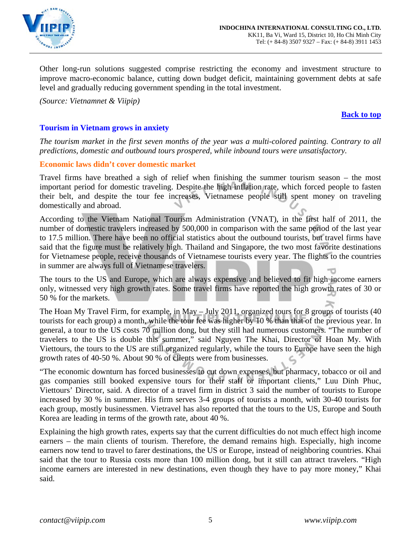

Other long-run solutions suggested comprise restricting the economy and investment structure to improve macro-economic balance, cutting down budget deficit, maintaining government debts at safe level and gradually reducing government spending in the total investment.

*(Source: Vietnamnet & Viipip)* 

#### **[Back to top](#page-0-0)**

## <span id="page-4-0"></span>**Tourism in Vietnam grows in anxiety**

*The tourism market in the first seven months of the year was a multi-colored painting. Contrary to all predictions, domestic and outbound tours prospered, while inbound tours were unsatisfactory.* 

## **Economic laws didn't cover domestic market**

Travel firms have breathed a sigh of relief when finishing the summer tourism season – the most important period for domestic traveling. Despite the high inflation rate, which forced people to fasten their belt, and despite the tour fee increases, Vietnamese people still spent money on traveling domestically and abroad.

According to the Vietnam National Tourism Administration (VNAT), in the first half of 2011, the number of domestic travelers increased by 500,000 in comparison with the same period of the last year to 17.5 million. There have been no official statistics about the outbound tourists, but travel firms have said that the figure must be relatively high. Thailand and Singapore, the two most favorite destinations for Vietnamese people, receive thousands of Vietnamese tourists every year. The flights to the countries in summer are always full of Vietnamese travelers.

The tours to the US and Europe, which are always expensive and believed to fit high income earners only, witnessed very high growth rates. Some travel firms have reported the high growth rates of 30 or 50 % for the markets.

The Hoan My Travel Firm, for example, in May – July 2011, organized tours for 8 groups of tourists (40 tourists for each group) a month, while the tour fee was higher by 10 % than that of the previous year. In general, a tour to the US costs 70 million dong, but they still had numerous customers. "The number of travelers to the US is double this summer," said Nguyen The Khai, Director of Hoan My. With Viettours, the tours to the US are still organized regularly, while the tours to Europe have seen the high growth rates of 40-50 %. About 90 % of clients were from businesses.

"The economic downturn has forced businesses to cut down expenses, but pharmacy, tobacco or oil and gas companies still booked expensive tours for their staff or important clients," Luu Dinh Phuc, Viettours' Director, said. A director of a travel firm in district 3 said the number of tourists to Europe increased by 30 % in summer. His firm serves 3-4 groups of tourists a month, with 30-40 tourists for each group, mostly businessmen. Vietravel has also reported that the tours to the US, Europe and South Korea are leading in terms of the growth rate, about 40 %.

Explaining the high growth rates, experts say that the current difficulties do not much effect high income earners – the main clients of tourism. Therefore, the demand remains high. Especially, high income earners now tend to travel to farer destinations, the US or Europe, instead of neighboring countries. Khai said that the tour to Russia costs more than 100 million dong, but it still can attract travelers. "High income earners are interested in new destinations, even though they have to pay more money," Khai said.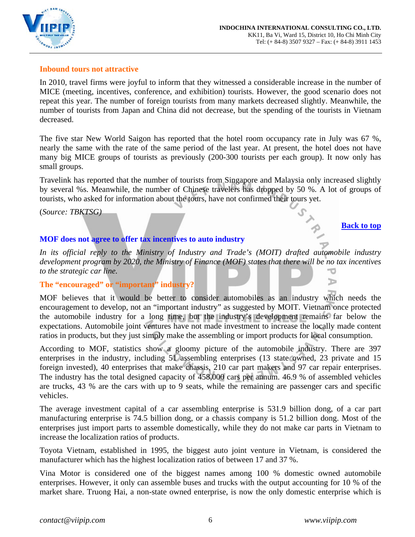

## **Inbound tours not attractive**

In 2010, travel firms were joyful to inform that they witnessed a considerable increase in the number of MICE (meeting, incentives, conference, and exhibition) tourists. However, the good scenario does not repeat this year. The number of foreign tourists from many markets decreased slightly. Meanwhile, the number of tourists from Japan and China did not decrease, but the spending of the tourists in Vietnam decreased.

The five star New World Saigon has reported that the hotel room occupancy rate in July was 67 %, nearly the same with the rate of the same period of the last year. At present, the hotel does not have many big MICE groups of tourists as previously (200-300 tourists per each group). It now only has small groups.

Travelink has reported that the number of tourists from Singapore and Malaysia only increased slightly by several %s. Meanwhile, the number of Chinese travelers has dropped by 50 %. A lot of groups of tourists, who asked for information about the tours, have not confirmed their tours yet.

(*Source: TBKTSG)*

## **[Back to top](#page-0-0)**

ъ

## <span id="page-5-0"></span>**MOF does not agree to offer tax incentives to auto industry**

*In its official reply to the Ministry of Industry and Trade's (MOIT) drafted automobile industry development program by 2020, the Ministry of Finance (MOF) states that there will be no tax incentives to the strategic car line.*  ℸ

## **The "encouraged" or "important" industry?**

MOF believes that it would be better to consider automobiles as an industry which needs the encouragement to develop, not an "important industry" as suggested by MOIT. Vietnam once protected the automobile industry for a long time, but the industry's development remains far below the expectations. Automobile joint ventures have not made investment to increase the locally made content ratios in products, but they just simply make the assembling or import products for local consumption.

According to MOF, statistics show a gloomy picture of the automobile industry. There are 397 enterprises in the industry, including 51 assembling enterprises (13 state owned, 23 private and 15 foreign invested), 40 enterprises that make chassis, 210 car part makers and 97 car repair enterprises. The industry has the total designed capacity of 458,000 cars per annum. 46.9 % of assembled vehicles are trucks, 43 % are the cars with up to 9 seats, while the remaining are passenger cars and specific vehicles.

The average investment capital of a car assembling enterprise is 531.9 billion dong, of a car part manufacturing enterprise is 74.5 billion dong, or a chassis company is 51.2 billion dong. Most of the enterprises just import parts to assemble domestically, while they do not make car parts in Vietnam to increase the localization ratios of products.

Toyota Vietnam, established in 1995, the biggest auto joint venture in Vietnam, is considered the manufacturer which has the highest localization ratios of between 17 and 37 %.

Vina Motor is considered one of the biggest names among 100 % domestic owned automobile enterprises. However, it only can assemble buses and trucks with the output accounting for 10 % of the market share. Truong Hai, a non-state owned enterprise, is now the only domestic enterprise which is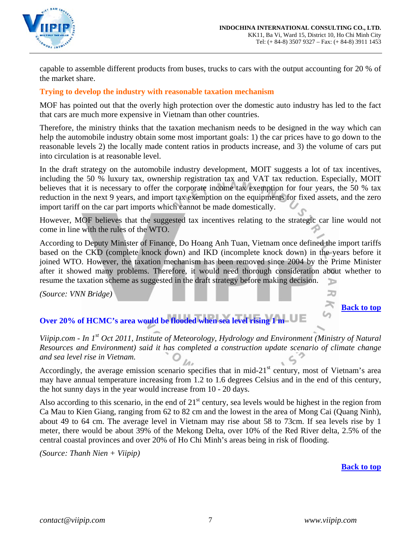

capable to assemble different products from buses, trucks to cars with the output accounting for 20 % of the market share.

## **Trying to develop the industry with reasonable taxation mechanism**

MOF has pointed out that the overly high protection over the domestic auto industry has led to the fact that cars are much more expensive in Vietnam than other countries.

Therefore, the ministry thinks that the taxation mechanism needs to be designed in the way which can help the automobile industry obtain some most important goals: 1) the car prices have to go down to the reasonable levels 2) the locally made content ratios in products increase, and 3) the volume of cars put into circulation is at reasonable level.

In the draft strategy on the automobile industry development, MOIT suggests a lot of tax incentives, including the 50 % luxury tax, ownership registration tax and VAT tax reduction. Especially, MOIT believes that it is necessary to offer the corporate income tax exemption for four years, the 50 % tax reduction in the next 9 years, and import tax exemption on the equipments for fixed assets, and the zero import tariff on the car part imports which cannot be made domestically.

However, MOF believes that the suggested tax incentives relating to the strategic car line would not come in line with the rules of the WTO.

According to Deputy Minister of Finance, Do Hoang Anh Tuan, Vietnam once defined the import tariffs based on the CKD (complete knock down) and IKD (incomplete knock down) in the years before it joined WTO. However, the taxation mechanism has been removed since 2004 by the Prime Minister after it showed many problems. Therefore, it would need thorough consideration about whether to resume the taxation scheme as suggested in the draft strategy before making decision. ъ

*(Source: VNN Bridge)*

**[Back to top](#page-0-0)**

20

# <span id="page-6-0"></span>**Over 20% of HCMC's area would be flooded when sea level rising 1 m**

*Viipip.com - In 1st Oct 2011, Institute of Meteorology, Hydrology and Environment (Ministry of Natural Resources and Environment) said it has completed a construction update scenario of climate change and sea level rise in Vietnam.* 

Accordingly, the average emission scenario specifies that in mid- $21<sup>st</sup>$  century, most of Vietnam's area may have annual temperature increasing from 1.2 to 1.6 degrees Celsius and in the end of this century, the hot sunny days in the year would increase from 10 - 20 days.

Also according to this scenario, in the end of  $21<sup>st</sup>$  century, sea levels would be highest in the region from Ca Mau to Kien Giang, ranging from 62 to 82 cm and the lowest in the area of Mong Cai (Quang Ninh), about 49 to 64 cm. The average level in Vietnam may rise about 58 to 73cm. If sea levels rise by 1 meter, there would be about 39% of the Mekong Delta, over 10% of the Red River delta, 2.5% of the central coastal provinces and over 20% of Ho Chi Minh's areas being in risk of flooding.

*(Source: Thanh Nien + Viipip)* 

**[Back to top](#page-0-0)**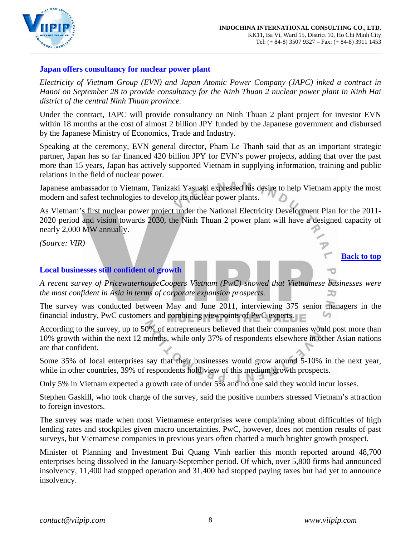

## <span id="page-7-0"></span>**Japan offers consultancy for nuclear power plant**

*Electricity of Vietnam Group (EVN) and Japan Atomic Power Company (JAPC) inked a contract in Hanoi on September 28 to provide consultancy for the Ninh Thuan 2 nuclear power plant in Ninh Hai district of the central Ninh Thuan province.* 

Under the contract, JAPC will provide consultancy on Ninh Thuan 2 plant project for investor EVN within 18 months at the cost of almost 2 billion JPY funded by the Japanese government and disbursed by the Japanese Ministry of Economics, Trade and Industry.

Speaking at the ceremony, EVN general director, Pham Le Thanh said that as an important strategic partner, Japan has so far financed 420 billion JPY for EVN's power projects, adding that over the past more than 15 years, Japan has actively supported Vietnam in supplying information, training and public relations in the field of nuclear power.

Japanese ambassador to Vietnam, Tanizaki Yasuaki expressed his desire to help Vietnam apply the most modern and safest technologies to develop its nuclear power plants.

As Vietnam's first nuclear power project under the National Electricity Development Plan for the 2011- 2020 period and vision towards 2030, the Ninh Thuan 2 power plant will have a designed capacity of nearly 2,000 MW annually.

*(Source: VIR)*

## **[Back to top](#page-0-0)**

## <span id="page-7-1"></span>**Local businesses still confident of growth**

*A recent survey of PricewaterhouseCoopers Vietnam (PwC) showed that Vietnamese businesses were the most confident in Asia in terms of corporate expansion prospects.* 

The survey was conducted between May and June 2011, interviewing 375 senior managers in the financial industry, PwC customers and combining viewpoints of PwC experts.

According to the survey, up to 50% of entrepreneurs believed that their companies would post more than 10% growth within the next 12 months, while only 37% of respondents elsewhere in other Asian nations are that confident.

Some 35% of local enterprises say that their businesses would grow around 5-10% in the next year, while in other countries, 39% of respondents hold view of this medium growth prospects.

Only 5% in Vietnam expected a growth rate of under 5% and no one said they would incur losses.

Stephen Gaskill, who took charge of the survey, said the positive numbers stressed Vietnam's attraction to foreign investors.

The survey was made when most Vietnamese enterprises were complaining about difficulties of high lending rates and stockpiles given macro uncertainties. PwC, however, does not mention results of past surveys, but Vietnamese companies in previous years often charted a much brighter growth prospect.

Minister of Planning and Investment Bui Quang Vinh earlier this month reported around 48,700 enterprises being dissolved in the January-September period. Of which, over 5,800 firms had announced insolvency, 11,400 had stopped operation and 31,400 had stopped paying taxes but had yet to announce insolvency.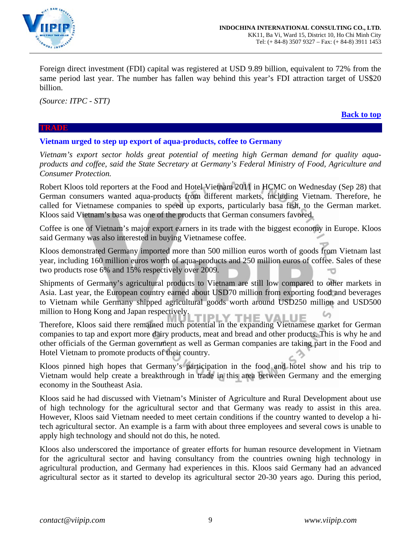

Foreign direct investment (FDI) capital was registered at USD 9.89 billion, equivalent to 72% from the same period last year. The number has fallen way behind this year's FDI attraction target of US\$20 billion.

*(Source: ITPC - STT)*

**[Back to top](#page-0-0)**

#### **TRADE**

## **Vietnam urged to step up export of aqua-products, coffee to Germany**

<span id="page-8-0"></span>*Vietnam's export sector holds great potential of meeting high German demand for quality aquaproducts and coffee, said the State Secretary at Germany's Federal Ministry of Food, Agriculture and Consumer Protection.* 

Robert Kloos told reporters at the Food and Hotel Vietnam 2011 in HCMC on Wednesday (Sep 28) that German consumers wanted aqua-products from different markets, including Vietnam. Therefore, he called for Vietnamese companies to speed up exports, particularly basa fish, to the German market. Kloos said Vietnam's basa was one of the products that German consumers favored.

Coffee is one of Vietnam's major export earners in its trade with the biggest economy in Europe. Kloos said Germany was also interested in buying Vietnamese coffee.

Kloos demonstrated Germany imported more than 500 million euros worth of goods from Vietnam last year, including 160 million euros worth of aqua-products and 250 million euros of coffee. Sales of these two products rose 6% and 15% respectively over 2009.

Shipments of Germany's agricultural products to Vietnam are still low compared to other markets in Asia. Last year, the European country earned about USD70 million from exporting food and beverages to Vietnam while Germany shipped agricultural goods worth around USD250 million and USD500 million to Hong Kong and Japan respectively. 'I PI HE VALUE

Therefore, Kloos said there remained much potential in the expanding Vietnamese market for German companies to tap and export more dairy products, meat and bread and other products. This is why he and other officials of the German government as well as German companies are taking part in the Food and Hotel Vietnam to promote products of their country.

Kloos pinned high hopes that Germany's participation in the food and hotel show and his trip to Vietnam would help create a breakthrough in trade in this area between Germany and the emerging economy in the Southeast Asia.

Kloos said he had discussed with Vietnam's Minister of Agriculture and Rural Development about use of high technology for the agricultural sector and that Germany was ready to assist in this area. However, Kloos said Vietnam needed to meet certain conditions if the country wanted to develop a hitech agricultural sector. An example is a farm with about three employees and several cows is unable to apply high technology and should not do this, he noted.

Kloos also underscored the importance of greater efforts for human resource development in Vietnam for the agricultural sector and having consultancy from the countries owning high technology in agricultural production, and Germany had experiences in this. Kloos said Germany had an advanced agricultural sector as it started to develop its agricultural sector 20-30 years ago. During this period,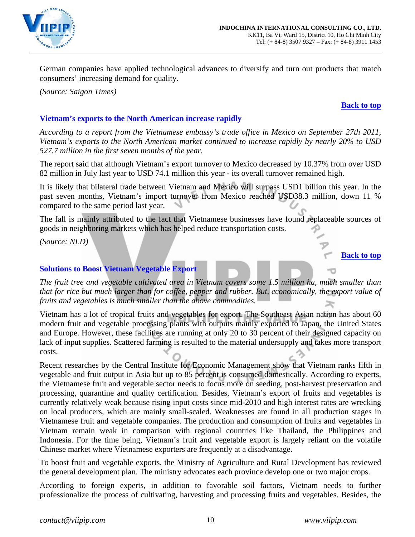

German companies have applied technological advances to diversify and turn out products that match consumers' increasing demand for quality.

*(Source: Saigon Times)*

#### **[Back to top](#page-0-0)**

## <span id="page-9-0"></span>**Vietnam's exports to the North American increase rapidly**

*According to a report from the Vietnamese embassy's trade office in Mexico on September 27th 2011, Vietnam's exports to the North American market continued to increase rapidly by nearly 20% to USD 527.7 million in the first seven months of the year.* 

The report said that although Vietnam's export turnover to Mexico decreased by 10.37% from over USD 82 million in July last year to USD 74.1 million this year - its overall turnover remained high.

It is likely that bilateral trade between Vietnam and Mexico will surpass USD1 billion this year. In the past seven months, Vietnam's import turnover from Mexico reached USD38.3 million, down 11 % compared to the same period last year.

The fall is mainly attributed to the fact that Vietnamese businesses have found replaceable sources of goods in neighboring markets which has helped reduce transportation costs.

*(Source: NLD)*

## **[Back to top](#page-0-0)**

## <span id="page-9-1"></span>**Solutions to Boost Vietnam Vegetable Export**

*The fruit tree and vegetable cultivated area in Vietnam covers some 1.5 million ha, much smaller than that for rice but much larger than for coffee, pepper and rubber. But, economically, the export value of fruits and vegetables is much smaller than the above commodities.* 

Vietnam has a lot of tropical fruits and vegetables for export. The Southeast Asian nation has about 60 modern fruit and vegetable processing plants with outputs mainly exported to Japan, the United States and Europe. However, these facilities are running at only 20 to 30 percent of their designed capacity on lack of input supplies. Scattered farming is resulted to the material undersupply and takes more transport costs.

Recent researches by the Central Institute for Economic Management show that Vietnam ranks fifth in vegetable and fruit output in Asia but up to 85 percent is consumed domestically. According to experts, the Vietnamese fruit and vegetable sector needs to focus more on seeding, post-harvest preservation and processing, quarantine and quality certification. Besides, Vietnam's export of fruits and vegetables is currently relatively weak because rising input costs since mid-2010 and high interest rates are wrecking on local producers, which are mainly small-scaled. Weaknesses are found in all production stages in Vietnamese fruit and vegetable companies. The production and consumption of fruits and vegetables in Vietnam remain weak in comparison with regional countries like Thailand, the Philippines and Indonesia. For the time being, Vietnam's fruit and vegetable export is largely reliant on the volatile Chinese market where Vietnamese exporters are frequently at a disadvantage.

To boost fruit and vegetable exports, the Ministry of Agriculture and Rural Development has reviewed the general development plan. The ministry advocates each province develop one or two major crops.

According to foreign experts, in addition to favorable soil factors, Vietnam needs to further professionalize the process of cultivating, harvesting and processing fruits and vegetables. Besides, the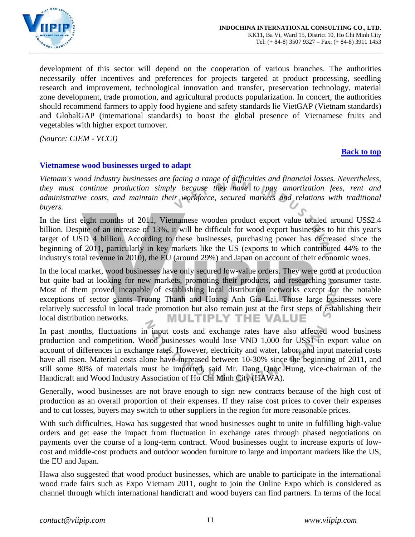

development of this sector will depend on the cooperation of various branches. The authorities necessarily offer incentives and preferences for projects targeted at product processing, seedling research and improvement, technological innovation and transfer, preservation technology, material zone development, trade promotion, and agricultural products popularization. In concert, the authorities should recommend farmers to apply food hygiene and safety standards lie VietGAP (Vietnam standards) and GlobalGAP (international standards) to boost the global presence of Vietnamese fruits and vegetables with higher export turnover.

*(Source: CIEM - VCCI)* 

#### **[Back to top](#page-0-0)**

## <span id="page-10-0"></span>**Vietnamese wood businesses urged to adapt**

*Vietnam's wood industry businesses are facing a range of difficulties and financial losses. Nevertheless, they must continue production simply because they have to pay amortization fees, rent and administrative costs, and maintain their workforce, secured markets and relations with traditional buyers.* 

In the first eight months of 2011, Vietnamese wooden product export value totaled around US\$2.4 billion. Despite of an increase of 13%, it will be difficult for wood export businesses to hit this year's target of USD 4 billion. According to these businesses, purchasing power has decreased since the beginning of 2011, particularly in key markets like the US (exports to which contributed 44% to the industry's total revenue in 2010), the EU (around 29%) and Japan on account of their economic woes.

In the local market, wood businesses have only secured low-value orders. They were good at production but quite bad at looking for new markets, promoting their products, and researching consumer taste. Most of them proved incapable of establishing local distribution networks except for the notable exceptions of sector giants Truong Thanh and Hoang Anh Gia Lai. Those large businesses were relatively successful in local trade promotion but also remain just at the first steps of establishing their local distribution networks. **MULTIPLY THE VALUE** 

In past months, fluctuations in input costs and exchange rates have also affected wood business production and competition. Wood businesses would lose VND 1,000 for US\$1 in export value on account of differences in exchange rates. However, electricity and water, labor, and input material costs have all risen. Material costs alone have increased between 10-30% since the beginning of 2011, and still some 80% of materials must be imported, said Mr. Dang Quoc Hung, vice-chairman of the Handicraft and Wood Industry Association of Ho Chi Minh City (HAWA).

Generally, wood businesses are not brave enough to sign new contracts because of the high cost of production as an overall proportion of their expenses. If they raise cost prices to cover their expenses and to cut losses, buyers may switch to other suppliers in the region for more reasonable prices.

With such difficulties, Hawa has suggested that wood businesses ought to unite in fulfilling high-value orders and get ease the impact from fluctuation in exchange rates through phased negotiations on payments over the course of a long-term contract. Wood businesses ought to increase exports of lowcost and middle-cost products and outdoor wooden furniture to large and important markets like the US, the EU and Japan.

Hawa also suggested that wood product businesses, which are unable to participate in the international wood trade fairs such as Expo Vietnam 2011, ought to join the Online Expo which is considered as channel through which international handicraft and wood buyers can find partners. In terms of the local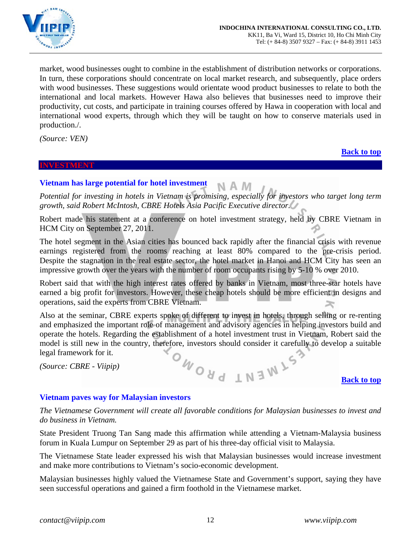

market, wood businesses ought to combine in the establishment of distribution networks or corporations. In turn, these corporations should concentrate on local market research, and subsequently, place orders with wood businesses. These suggestions would orientate wood product businesses to relate to both the international and local markets. However Hawa also believes that businesses need to improve their productivity, cut costs, and participate in training courses offered by Hawa in cooperation with local and international wood experts, through which they will be taught on how to conserve materials used in production./.

<span id="page-11-3"></span>*(Source: VEN)* 

#### <span id="page-11-0"></span>**INVESTMENT**

#### **[Back to top](#page-0-0)**

**[Back to top](#page-0-0)**

#### **Vietnam has large potential for hotel investment**

<span id="page-11-1"></span>*Potential for investing in hotels in Vietnam is promising, especially for investors who target long term growth, said Robert McIntosh, CBRE Hotels Asia Pacific Executive director.* 

N A M

Robert made his statement at a conference on hotel investment strategy, held by CBRE Vietnam in HCM City on September 27, 2011.

The hotel segment in the Asian cities has bounced back rapidly after the financial crisis with revenue earnings registered from the rooms reaching at least 80% compared to the pre-crisis period. Despite the stagnation in the real estate sector, the hotel market in Hanoi and HCM City has seen an impressive growth over the years with the number of room occupants rising by 5-10 % over 2010.

Robert said that with the high interest rates offered by banks in Vietnam, most three-star hotels have earned a big profit for investors. However, these cheap hotels should be more efficient in designs and operations, said the experts from CBRE Vietnam.

Also at the seminar, CBRE experts spoke of different to invest in hotels, through selling or re-renting and emphasized the important role of management and advisory agencies in helping investors build and operate the hotels. Regarding the establishment of a hotel investment trust in Vietnam, Robert said the model is still new in the country, therefore, investors should consider it carefully to develop a suitable legal framework for it.<br>
(Source: CBRE - Viipip) legal framework for it. ONONO

*(Source: CBRE - Viipip)* 

<span id="page-11-2"></span>

*The Vietnamese Government will create all favorable conditions for Malaysian businesses to invest and do business in Vietnam.* 

State President Truong Tan Sang made this affirmation while attending a Vietnam-Malaysia business forum in Kuala Lumpur on September 29 as part of his three-day official visit to Malaysia.

The Vietnamese State leader expressed his wish that Malaysian businesses would increase investment and make more contributions to Vietnam's socio-economic development.

Malaysian businesses highly valued the Vietnamese State and Government's support, saying they have seen successful operations and gained a firm foothold in the Vietnamese market.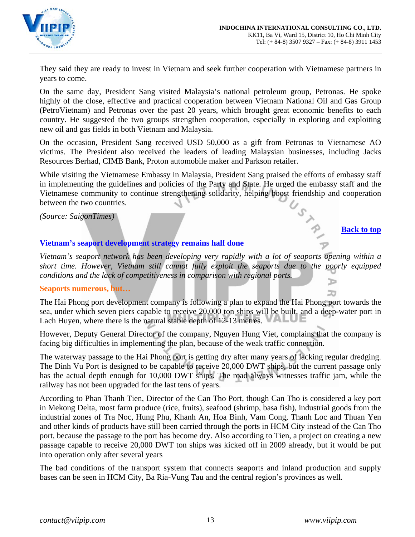

They said they are ready to invest in Vietnam and seek further cooperation with Vietnamese partners in years to come.

On the same day, President Sang visited Malaysia's national petroleum group, Petronas. He spoke highly of the close, effective and practical cooperation between Vietnam National Oil and Gas Group (PetroVietnam) and Petronas over the past 20 years, which brought great economic benefits to each country. He suggested the two groups strengthen cooperation, especially in exploring and exploiting new oil and gas fields in both Vietnam and Malaysia.

On the occasion, President Sang received USD 50,000 as a gift from Petronas to Vietnamese AO victims. The President also received the leaders of leading Malaysian businesses, including Jacks Resources Berhad, CIMB Bank, Proton automobile maker and Parkson retailer.

While visiting the Vietnamese Embassy in Malaysia, President Sang praised the efforts of embassy staff in implementing the guidelines and policies of the Party and State. He urged the embassy staff and the Vietnamese community to continue strengthening solidarity, helping boost friendship and cooperation<br>between the two countries.<br>Back to top between the two countries.

*(Source: SaigonTimes)*

#### **[Back to top](#page-0-0)**

20

## <span id="page-12-0"></span>**Vietnam's seaport development strategy remains half done**

*Vietnam's seaport network has been developing very rapidly with a lot of seaports opening within a short time. However, Vietnam still cannot fully exploit the seaports due to the poorly equipped conditions and the lack of competitiveness in comparison with regional ports.*  D

## **Seaports numerous, but…**

The Hai Phong port development company is following a plan to expand the Hai Phong port towards the sea, under which seven piers capable to receive 20,000 ton ships will be built, and a deep-water port in Lach Huyen, where there is the natural stable depth of 12-13 metres.

However, Deputy General Director of the company, Nguyen Hung Viet, complains that the company is facing big difficulties in implementing the plan, because of the weak traffic connection.

The waterway passage to the Hai Phong port is getting dry after many years of lacking regular dredging. The Dinh Vu Port is designed to be capable to receive 20,000 DWT ships, but the current passage only has the actual depth enough for 10,000 DWT ships. The road always witnesses traffic jam, while the railway has not been upgraded for the last tens of years.

According to Phan Thanh Tien, Director of the Can Tho Port, though Can Tho is considered a key port in Mekong Delta, most farm produce (rice, fruits), seafood (shrimp, basa fish), industrial goods from the industrial zones of Tra Noc, Hung Phu, Khanh An, Hoa Binh, Vam Cong, Thanh Loc and Thuan Yen and other kinds of products have still been carried through the ports in HCM City instead of the Can Tho port, because the passage to the port has become dry. Also according to Tien, a project on creating a new passage capable to receive 20,000 DWT ton ships was kicked off in 2009 already, but it would be put into operation only after several years

The bad conditions of the transport system that connects seaports and inland production and supply bases can be seen in HCM City, Ba Ria-Vung Tau and the central region's provinces as well.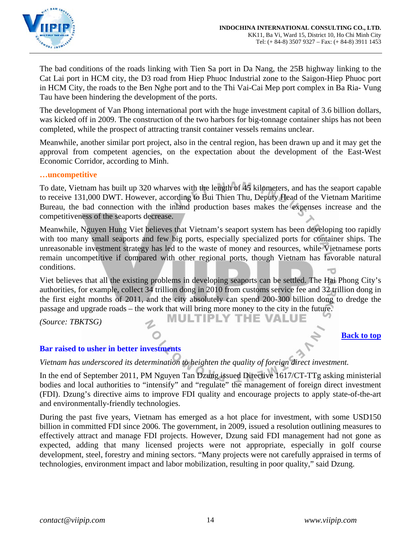

The bad conditions of the roads linking with Tien Sa port in Da Nang, the 25B highway linking to the Cat Lai port in HCM city, the D3 road from Hiep Phuoc Industrial zone to the Saigon-Hiep Phuoc port in HCM City, the roads to the Ben Nghe port and to the Thi Vai-Cai Mep port complex in Ba Ria- Vung Tau have been hindering the development of the ports.

The development of Van Phong international port with the huge investment capital of 3.6 billion dollars, was kicked off in 2009. The construction of the two harbors for big-tonnage container ships has not been completed, while the prospect of attracting transit container vessels remains unclear.

Meanwhile, another similar port project, also in the central region, has been drawn up and it may get the approval from competent agencies, on the expectation about the development of the East-West Economic Corridor, according to Minh.

#### **…uncompetitive**

To date, Vietnam has built up 320 wharves with the length of 45 kilometers, and has the seaport capable to receive 131,000 DWT. However, according to Bui Thien Thu, Deputy Head of the Vietnam Maritime Bureau, the bad connection with the inland production bases makes the expenses increase and the competitiveness of the seaports decrease.

Meanwhile, Nguyen Hung Viet believes that Vietnam's seaport system has been developing too rapidly with too many small seaports and few big ports, especially specialized ports for container ships. The unreasonable investment strategy has led to the waste of money and resources, while Vietnamese ports remain uncompetitive if compared with other regional ports, though Vietnam has favorable natural conditions.

Viet believes that all the existing problems in developing seaports can be settled. The Hai Phong City's authorities, for example, collect 34 trillion dong in 2010 from customs service fee and 32 trillion dong in the first eight months of 2011, and the city absolutely can spend 200-300 billion dong to dredge the passage and upgrade roads – the work that will bring more money to the city in the future.

*(Source: TBKTSG)* 

**MULTIPLY THE VALUE** 

#### **[Back to top](#page-0-0)**

## <span id="page-13-0"></span>**Bar raised to usher in better investments**

*Vietnam has underscored its determination to heighten the quality of foreign direct investment.* 

In the end of September 2011, PM Nguyen Tan Dzung issued Directive 1617/CT-TTg asking ministerial bodies and local authorities to "intensify" and "regulate" the management of foreign direct investment (FDI). Dzung's directive aims to improve FDI quality and encourage projects to apply state-of-the-art and environmentally-friendly technologies.

During the past five years, Vietnam has emerged as a hot place for investment, with some USD150 billion in committed FDI since 2006. The government, in 2009, issued a resolution outlining measures to effectively attract and manage FDI projects. However, Dzung said FDI management had not gone as expected, adding that many licensed projects were not appropriate, especially in golf course development, steel, forestry and mining sectors. "Many projects were not carefully appraised in terms of technologies, environment impact and labor mobilization, resulting in poor quality," said Dzung.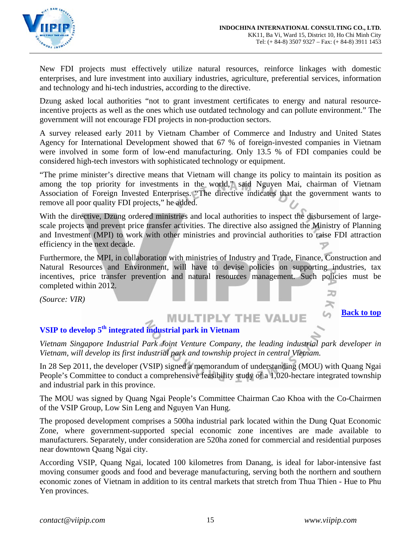

New FDI projects must effectively utilize natural resources, reinforce linkages with domestic enterprises, and lure investment into auxiliary industries, agriculture, preferential services, information and technology and hi-tech industries, according to the directive.

Dzung asked local authorities "not to grant investment certificates to energy and natural resourceincentive projects as well as the ones which use outdated technology and can pollute environment." The government will not encourage FDI projects in non-production sectors.

A survey released early 2011 by Vietnam Chamber of Commerce and Industry and United States Agency for International Development showed that 67 % of foreign-invested companies in Vietnam were involved in some form of low-end manufacturing. Only 13.5 % of FDI companies could be considered high-tech investors with sophisticated technology or equipment.

"The prime minister's directive means that Vietnam will change its policy to maintain its position as among the top priority for investments in the world," said Nguyen Mai, chairman of Vietnam Association of Foreign Invested Enterprises. "The directive indicates that the government wants to remove all poor quality FDI projects," he added.

With the directive, Dzung ordered ministries and local authorities to inspect the disbursement of largescale projects and prevent price transfer activities. The directive also assigned the Ministry of Planning and Investment (MPI) to work with other ministries and provincial authorities to raise FDI attraction efficiency in the next decade.

Furthermore, the MPI, in collaboration with ministries of Industry and Trade, Finance, Construction and Natural Resources and Environment, will have to devise policies on supporting industries, tax incentives, price transfer prevention and natural resources management. Such policies must be completed within 2012.

*(Source: VIR)*

**[Back to top](#page-0-0)**

⊃

# <span id="page-14-0"></span>**VSIP to develop 5th integrated industrial park in Vietnam**

*Vietnam Singapore Industrial Park Joint Venture Company, the leading industrial park developer in Vietnam, will develop its first industrial park and township project in central Vietnam.* 

**MULTIPLY THE VALUE** 

In 28 Sep 2011, the developer (VSIP) signed a memorandum of understanding (MOU) with Quang Ngai People's Committee to conduct a comprehensive feasibility study of a 1,020-hectare integrated township and industrial park in this province.

The MOU was signed by Quang Ngai People's Committee Chairman Cao Khoa with the Co-Chairmen of the VSIP Group, Low Sin Leng and Nguyen Van Hung.

The proposed development comprises a 500ha industrial park located within the Dung Quat Economic Zone, where government-supported special economic zone incentives are made available to manufacturers. Separately, under consideration are 520ha zoned for commercial and residential purposes near downtown Quang Ngai city.

According VSIP, Quang Ngai, located 100 kilometres from Danang, is ideal for labor-intensive fast moving consumer goods and food and beverage manufacturing, serving both the northern and southern economic zones of Vietnam in addition to its central markets that stretch from Thua Thien - Hue to Phu Yen provinces.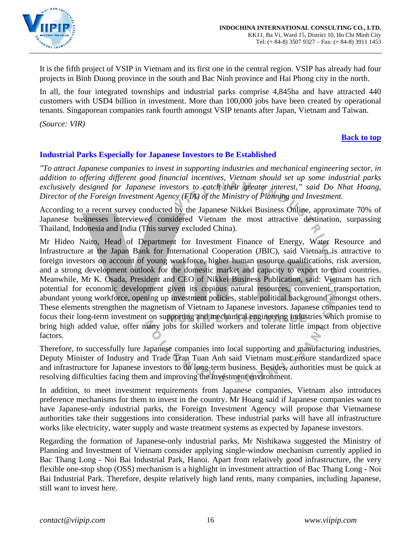

It is the fifth project of VSIP in Vietnam and its first one in the central region. VSIP has already had four projects in Binh Duong province in the south and Bac Ninh province and Hai Phong city in the north.

In all, the four integrated townships and industrial parks comprise 4,845ha and have attracted 440 customers with USD4 billion in investment. More than 100,000 jobs have been created by operational tenants. Singaporean companies rank fourth amongst VSIP tenants after Japan, Vietnam and Taiwan.

*(Source: VIR)* 

## **[Back to top](#page-0-0)**

## <span id="page-15-0"></span>**Industrial Parks Especially for Japanese Investors to Be Established**

*"To attract Japanese companies to invest in supporting industries and mechanical engineering sector, in addition to offering different good financial incentives, Vietnam should set up some industrial parks exclusively designed for Japanese investors to catch their greater interest," said Do Nhat Hoang, Director of the Foreign Investment Agency (FIA) of the Ministry of Planning and Investment.* 

According to a recent survey conducted by the Japanese Nikkei Business Online, approximate 70% of Japanese businesses interviewed considered Vietnam the most attractive destination, surpassing Thailand, Indonesia and India (This survey excluded China).

Mr Hideo Naito, Head of Department for Investment Finance of Energy, Water Resource and Infrastructure at the Japan Bank for International Cooperation (JBIC), said Vietnam is attractive to foreign investors on account of young workforce, higher human resource qualifications, risk aversion, and a strong development outlook for the domestic market and capacity to export to third countries. Meanwhile, Mr K. Osada, President and CEO of Nikkei Business Publication, said: Vietnam has rich potential for economic development given its copious natural resources, convenient transportation, abundant young workforce, opening up investment policies, stable political background amongst others. These elements strengthen the magnetism of Vietnam to Japanese investors. Japanese companies tend to focus their long-term investment on supporting and mechanical engineering industries which promise to bring high added value, offer many jobs for skilled workers and tolerate little impact from objective factors.

Therefore, to successfully lure Japanese companies into local supporting and manufacturing industries, Deputy Minister of Industry and Trade Tran Tuan Anh said Vietnam must ensure standardized space and infrastructure for Japanese investors to do long-term business. Besides, authorities must be quick at resolving difficulties facing them and improving the investment environment.

In addition, to meet investment requirements from Japanese companies, Vietnam also introduces preference mechanisms for them to invest in the country. Mr Hoang said if Japanese companies want to have Japanese-only industrial parks, the Foreign Investment Agency will propose that Vietnamese authorities take their suggestions into consideration. These industrial parks will have all infrastructure works like electricity, water supply and waste treatment systems as expected by Japanese investors.

Regarding the formation of Japanese-only industrial parks, Mr Nishikawa suggested the Ministry of Planning and Investment of Vietnam consider applying single-window mechanism currently applied in Bac Thang Long - Noi Bai Industrial Park, Hanoi. Apart from relatively good infrastructure, the very flexible one-stop shop (OSS) mechanism is a highlight in investment attraction of Bac Thang Long - Noi Bai Industrial Park. Therefore, despite relatively high land rents, many companies, including Japanese, still want to invest here.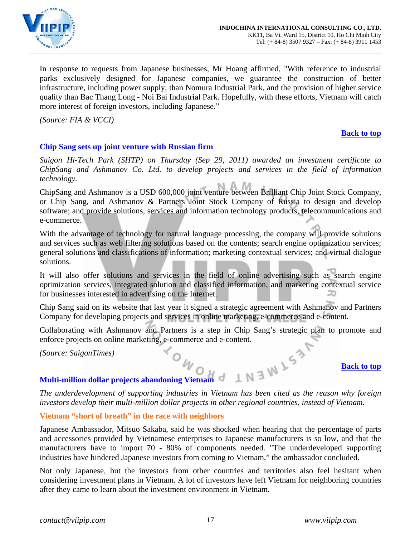

In response to requests from Japanese businesses, Mr Hoang affirmed, "With reference to industrial parks exclusively designed for Japanese companies, we guarantee the construction of better infrastructure, including power supply, than Nomura Industrial Park, and the provision of higher service quality than Bac Thang Long - Noi Bai Industrial Park. Hopefully, with these efforts, Vietnam will catch more interest of foreign investors, including Japanese."

*(Source: FIA & VCCI)* 

#### **[Back to top](#page-0-0)**

## <span id="page-16-0"></span>**Chip Sang sets up joint venture with Russian firm**

*Saigon Hi-Tech Park (SHTP) on Thursday (Sep 29, 2011) awarded an investment certificate to ChipSang and Ashmanov Co. Ltd. to develop projects and services in the field of information technology.* 

ChipSang and Ashmanov is a USD 600,000 joint venture between Brilliant Chip Joint Stock Company, or Chip Sang, and Ashmanov & Partners Joint Stock Company of Russia to design and develop software; and provide solutions, services and information technology products, telecommunications and e-commerce.

With the advantage of technology for natural language processing, the company will provide solutions and services such as web filtering solutions based on the contents; search engine optimization services; general solutions and classifications of information; marketing contextual services; and virtual dialogue solutions.

It will also offer solutions and services in the field of online advertising such as search engine optimization services, integrated solution and classified information, and marketing contextual service for businesses interested in advertising on the Internet.

Chip Sang said on its website that last year it signed a strategic agreement with Ashmanov and Partners Company for developing projects and services in online marketing, e-commerce and e-content.

Collaborating with Ashmanov and Partners is a step in Chip Sang's strategic plan to promote and enforce projects on online marketing, e-commerce and e-content.<br>
(Source: SaigonTimes)<br>
Multi-million dollar projects abandoning Vietnam<br>
Ti

*(Source: SaigonTimes)* 

#### **[Back to top](#page-0-0)**

# <span id="page-16-1"></span>**Multi-million dollar projects abandoning Vietnam**

*The underdevelopment of supporting industries in Vietnam has been cited as the reason why foreign investors develop their multi-million dollar projects in other regional countries, instead of Vietnam.* 

## **Vietnam "short of breath" in the race with neighbors**

Japanese Ambassador, Mitsuo Sakaba, said he was shocked when hearing that the percentage of parts and accessories provided by Vietnamese enterprises to Japanese manufacturers is so low, and that the manufacturers have to import 70 - 80% of components needed. "The underdeveloped supporting industries have hindered Japanese investors from coming to Vietnam," the ambassador concluded.

Not only Japanese, but the investors from other countries and territories also feel hesitant when considering investment plans in Vietnam. A lot of investors have left Vietnam for neighboring countries after they came to learn about the investment environment in Vietnam.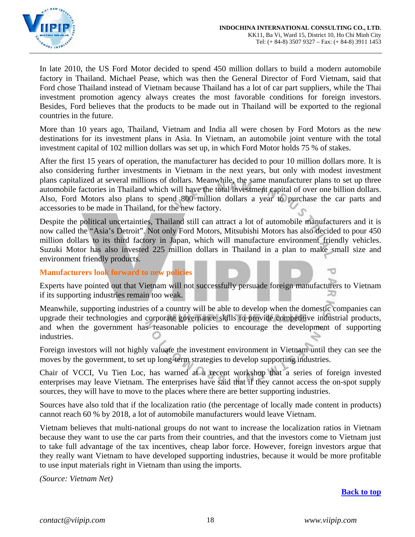

In late 2010, the US Ford Motor decided to spend 450 million dollars to build a modern automobile factory in Thailand. Michael Pease, which was then the General Director of Ford Vietnam, said that Ford chose Thailand instead of Vietnam because Thailand has a lot of car part suppliers, while the Thai investment promotion agency always creates the most favorable conditions for foreign investors. Besides, Ford believes that the products to be made out in Thailand will be exported to the regional countries in the future.

More than 10 years ago, Thailand, Vietnam and India all were chosen by Ford Motors as the new destinations for its investment plans in Asia. In Vietnam, an automobile joint venture with the total investment capital of 102 million dollars was set up, in which Ford Motor holds 75 % of stakes.

After the first 15 years of operation, the manufacturer has decided to pour 10 million dollars more. It is also considering further investments in Vietnam in the next years, but only with modest investment plans capitalized at several millions of dollars. Meanwhile, the same manufacturer plans to set up three automobile factories in Thailand which will have the total investment capital of over one billion dollars. Also, Ford Motors also plans to spend 800 million dollars a year to purchase the car parts and accessories to be made in Thailand, for the new factory.

Despite the political uncertainties, Thailand still can attract a lot of automobile manufacturers and it is now called the "Asia's Detroit". Not only Ford Motors, Mitsubishi Motors has also decided to pour 450 million dollars to its third factory in Japan, which will manufacture environment friendly vehicles. Suzuki Motor has also invested 225 million dollars in Thailand in a plan to make small size and environment friendly products.

**Manufacturers look forward to new policies** 

Experts have pointed out that Vietnam will not successfully persuade foreign manufacturers to Vietnam if its supporting industries remain too weak.

Meanwhile, supporting industries of a country will be able to develop when the domestic companies can upgrade their technologies and corporate governance skills to provide competitive industrial products, and when the government has reasonable policies to encourage the development of supporting industries.

Foreign investors will not highly valuate the investment environment in Vietnam until they can see the moves by the government, to set up long-term strategies to develop supporting industries.

Chair of VCCI, Vu Tien Loc, has warned at a recent workshop that a series of foreign invested enterprises may leave Vietnam. The enterprises have said that if they cannot access the on-spot supply sources, they will have to move to the places where there are better supporting industries.

Sources have also told that if the localization ratio (the percentage of locally made content in products) cannot reach 60 % by 2018, a lot of automobile manufacturers would leave Vietnam.

Vietnam believes that multi-national groups do not want to increase the localization ratios in Vietnam because they want to use the car parts from their countries, and that the investors come to Vietnam just to take full advantage of the tax incentives, cheap labor force. However, foreign investors argue that they really want Vietnam to have developed supporting industries, because it would be more profitable to use input materials right in Vietnam than using the imports.

*(Source: Vietnam Net)*

## **[Back to top](#page-0-0)**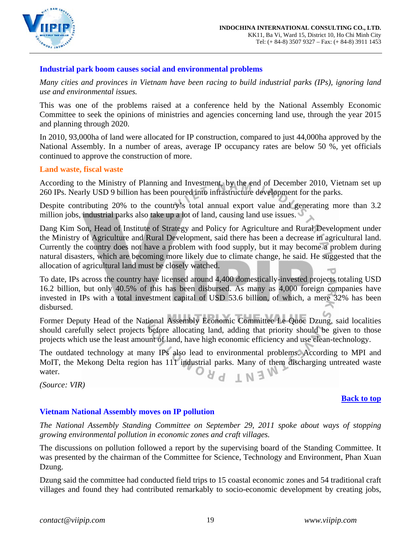

## <span id="page-18-0"></span>**Industrial park boom causes social and environmental problems**

*Many cities and provinces in Vietnam have been racing to build industrial parks (IPs), ignoring land use and environmental issues.* 

This was one of the problems raised at a conference held by the National Assembly Economic Committee to seek the opinions of ministries and agencies concerning land use, through the year 2015 and planning through 2020.

In 2010, 93,000ha of land were allocated for IP construction, compared to just 44,000ha approved by the National Assembly. In a number of areas, average IP occupancy rates are below 50 %, yet officials continued to approve the construction of more.

## **Land waste, fiscal waste**

According to the Ministry of Planning and Investment, by the end of December 2010, Vietnam set up 260 IPs. Nearly USD 9 billion has been poured into infrastructure development for the parks.

Despite contributing 20% to the country's total annual export value and generating more than 3.2 million jobs, industrial parks also take up a lot of land, causing land use issues.

Dang Kim Son, Head of Institute of Strategy and Policy for Agriculture and Rural Development under the Ministry of Agriculture and Rural Development, said there has been a decrease in agricultural land. Currently the country does not have a problem with food supply, but it may become a problem during natural disasters, which are becoming more likely due to climate change, he said. He suggested that the allocation of agricultural land must be closely watched.

To date, IPs across the country have licensed around 4,400 domestically-invested projects totaling USD 16.2 billion, but only 40.5% of this has been disbursed. As many as 4,000 foreign companies have invested in IPs with a total investment capital of USD 53.6 billion, of which, a mere 32% has been disbursed.

Former Deputy Head of the National Assembly Economic Committee Le Quoc Dzung, said localities should carefully select projects before allocating land, adding that priority should be given to those projects which use the least amount of land, have high economic efficiency and use clean-technology.

The outdated technology at many IPs also lead to environmental problems. According to MPI and MoIT, the Mekong Delta region has 111 industrial parks. Many of them discharging untreated waste IN<sub>3</sub>W water.

*(Source: VIR)*

#### **[Back to top](#page-0-0)**

## <span id="page-18-1"></span>**Vietnam National Assembly moves on IP pollution**

*The National Assembly Standing Committee on September 29, 2011 spoke about ways of stopping growing environmental pollution in economic zones and craft villages.* 

The discussions on pollution followed a report by the supervising board of the Standing Committee. It was presented by the chairman of the Committee for Science, Technology and Environment, Phan Xuan Dzung.

Dzung said the committee had conducted field trips to 15 coastal economic zones and 54 traditional craft villages and found they had contributed remarkably to socio-economic development by creating jobs,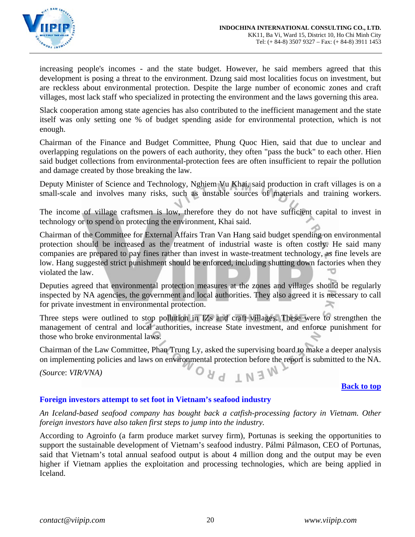

increasing people's incomes - and the state budget. However, he said members agreed that this development is posing a threat to the environment. Dzung said most localities focus on investment, but are reckless about environmental protection. Despite the large number of economic zones and craft villages, most lack staff who specialized in protecting the environment and the laws governing this area.

Slack cooperation among state agencies has also contributed to the inefficient management and the state itself was only setting one % of budget spending aside for environmental protection, which is not enough.

Chairman of the Finance and Budget Committee, Phung Quoc Hien, said that due to unclear and overlapping regulations on the powers of each authority, they often "pass the buck" to each other. Hien said budget collections from environmental-protection fees are often insufficient to repair the pollution and damage created by those breaking the law.

Deputy Minister of Science and Technology, Nghiem Vu Khai, said production in craft villages is on a small-scale and involves many risks, such as unstable sources of materials and training workers.

The income of village craftsmen is low, therefore they do not have sufficient capital to invest in technology or to spend on protecting the environment, Khai said.

Chairman of the Committee for External Affairs Tran Van Hang said budget spending on environmental protection should be increased as the treatment of industrial waste is often costly. He said many companies are prepared to pay fines rather than invest in waste-treatment technology, as fine levels are low. Hang suggested strict punishment should be enforced, including shutting down factories when they violated the law.

Deputies agreed that environmental protection measures at the zones and villages should be regularly inspected by NA agencies, the government and local authorities. They also agreed it is necessary to call for private investment in environmental protection.

Three steps were outlined to stop pollution in IZs and craft villages. These were to strengthen the management of central and local authorities, increase State investment, and enforce punishment for those who broke environmental laws.

Chairman of the Law Committee, Phan Trung Ly, asked the supervising board to make a deeper analysis on implementing policies and laws on environmental protection before the report is submitted to the NA.

**INEW** 

*(Sourc*e: *VIR/VNA)* 

**[Back to top](#page-0-0)**

## <span id="page-19-0"></span>**Foreign investors attempt to set foot in Vietnam's seafood industry**

*An Iceland-based seafood company has bought back a catfish-processing factory in Vietnam. Other foreign investors have also taken first steps to jump into the industry.* 

According to Agroinfo (a farm produce market survey firm), Portunas is seeking the opportunities to support the sustainable development of Vietnam's seafood industry. Pálmi Pálmason, CEO of Portunas, said that Vietnam's total annual seafood output is about 4 million dong and the output may be even higher if Vietnam applies the exploitation and processing technologies, which are being applied in Iceland.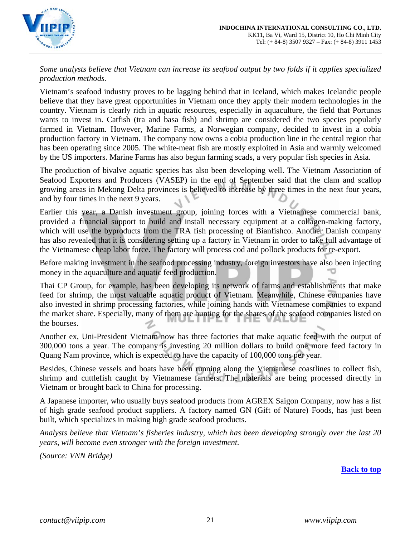

*Some analysts believe that Vietnam can increase its seafood output by two folds if it applies specialized production methods.* 

Vietnam's seafood industry proves to be lagging behind that in Iceland, which makes Icelandic people believe that they have great opportunities in Vietnam once they apply their modern technologies in the country. Vietnam is clearly rich in aquatic resources, especially in aquaculture, the field that Portunas wants to invest in. Catfish (tra and basa fish) and shrimp are considered the two species popularly farmed in Vietnam. However, Marine Farms, a Norwegian company, decided to invest in a cobia production factory in Vietnam. The company now owns a cobia production line in the central region that has been operating since 2005. The white-meat fish are mostly exploited in Asia and warmly welcomed by the US importers. Marine Farms has also begun farming scads, a very popular fish species in Asia.

The production of bivalve aquatic species has also been developing well. The Vietnam Association of Seafood Exporters and Producers (VASEP) in the end of September said that the clam and scallop growing areas in Mekong Delta provinces is believed to increase by three times in the next four years, and by four times in the next 9 years.

Earlier this year, a Danish investment group, joining forces with a Vietnamese commercial bank, provided a financial support to build and install necessary equipment at a collagen-making factory, which will use the byproducts from the TRA fish processing of Bianfishco. Another Danish company has also revealed that it is considering setting up a factory in Vietnam in order to take full advantage of the Vietnamese cheap labor force. The factory will process cod and pollock products for re-export.

Before making investment in the seafood processing industry, foreign investors have also been injecting money in the aquaculture and aquatic feed production.

Thai CP Group, for example, has been developing its network of farms and establishments that make feed for shrimp, the most valuable aquatic product of Vietnam. Meanwhile, Chinese companies have also invested in shrimp processing factories, while joining hands with Vietnamese companies to expand the market share. Especially, many of them are hunting for the shares of the seafood companies listed on the bourses.

Another ex, Uni-President Vietnam now has three factories that make aquatic feed with the output of 300,000 tons a year. The company is investing 20 million dollars to build one more feed factory in Quang Nam province, which is expected to have the capacity of 100,000 tons per year.

Besides, Chinese vessels and boats have been running along the Vietnamese coastlines to collect fish, shrimp and cuttlefish caught by Vietnamese farmers. The materials are being processed directly in Vietnam or brought back to China for processing.

A Japanese importer, who usually buys seafood products from AGREX Saigon Company, now has a list of high grade seafood product suppliers. A factory named GN (Gift of Nature) Foods, has just been built, which specializes in making high grade seafood products.

*Analysts believe that Vietnam's fisheries industry, which has been developing strongly over the last 20 years, will become even stronger with the foreign investment.* 

*(Source: VNN Bridge)*

**[Back to top](#page-0-0)**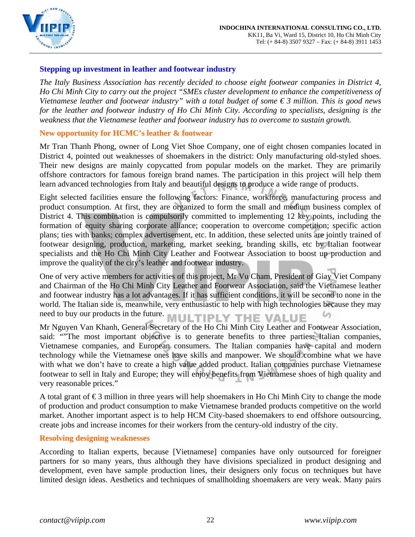

## <span id="page-21-0"></span>**Stepping up investment in leather and footwear industry**

*The Italy Business Association has recently decided to choose eight footwear companies in District 4, Ho Chi Minh City to carry out the project "SMEs cluster development to enhance the competitiveness of Vietnamese leather and footwear industry" with a total budget of some € 3 million. This is good news for the leather and footwear industry of Ho Chi Minh City. According to specialists, designing is the weakness that the Vietnamese leather and footwear industry has to overcome to sustain growth.* 

## **New opportunity for HCMC's leather & footwear**

Mr Tran Thanh Phong, owner of Long Viet Shoe Company, one of eight chosen companies located in District 4, pointed out weaknesses of shoemakers in the district: Only manufacturing old-styled shoes. Their new designs are mainly copycatted from popular models on the market. They are primarily offshore contractors for famous foreign brand names. The participation in this project will help them learn advanced technologies from Italy and beautiful designs to produce a wide range of products.

Eight selected facilities ensure the following factors: Finance, workforce, manufacturing process and product consumption. At first, they are organized to form the small and medium business complex of District 4. This combination is compulsorily committed to implementing 12 key points, including the formation of equity sharing corporate alliance; cooperation to overcome competition; specific action plans; ties with banks; complex advertisement, etc. In addition, these selected units are jointly trained of footwear designing, production, marketing, market seeking, branding skills, etc by Italian footwear specialists and the Ho Chi Minh City Leather and Footwear Association to boost up production and improve the quality of the city's leather and footwear industry.

One of very active members for activities of this project, Mr Vu Cham, President of Giay Viet Company and Chairman of the Ho Chi Minh City Leather and Footwear Association, said the Vietnamese leather and footwear industry has a lot advantages. If it has sufficient conditions, it will be second to none in the world. The Italian side is, meanwhile, very enthusiastic to help with high technologies because they may need to buy our products in the future. MULTIPLY THE VALUE

Mr Nguyen Van Khanh, General Secretary of the Ho Chi Minh City Leather and Footwear Association, said: ""The most important objective is to generate benefits to three parties: Italian companies, Vietnamese companies, and European consumers. The Italian companies have capital and modern technology while the Vietnamese ones have skills and manpower. We should combine what we have with what we don't have to create a high value added product. Italian companies purchase Vietnamese footwear to sell in Italy and Europe; they will enjoy benefits from Vietnamese shoes of high quality and very reasonable prices."

A total grant of  $\epsilon$ 3 million in three years will help shoemakers in Ho Chi Minh City to change the mode of production and product consumption to make Vietnamese branded products competitive on the world market. Another important aspect is to help HCM City-based shoemakers to end offshore outsourcing, create jobs and increase incomes for their workers from the century-old industry of the city.

## **Resolving designing weaknesses**

According to Italian experts, because [Vietnamese] companies have only outsourced for foreigner partners for so many years, thus although they have divisions specialized in product designing and development, even have sample production lines, their designers only focus on techniques but have limited design ideas. Aesthetics and techniques of smallholding shoemakers are very weak. Many pairs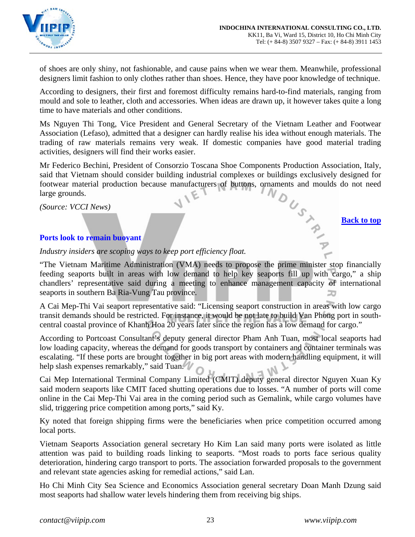

of shoes are only shiny, not fashionable, and cause pains when we wear them. Meanwhile, professional designers limit fashion to only clothes rather than shoes. Hence, they have poor knowledge of technique.

According to designers, their first and foremost difficulty remains hard-to-find materials, ranging from mould and sole to leather, cloth and accessories. When ideas are drawn up, it however takes quite a long time to have materials and other conditions.

Ms Nguyen Thi Tong, Vice President and General Secretary of the Vietnam Leather and Footwear Association (Lefaso), admitted that a designer can hardly realise his idea without enough materials. The trading of raw materials remains very weak. If domestic companies have good material trading activities, designers will find their works easier.

Mr Federico Bechini, President of Consorzio Toscana Shoe Components Production Association, Italy, said that Vietnam should consider building industrial complexes or buildings exclusively designed for footwear material production because manufacturers of buttons, ornaments and moulds do not need large grounds.<br>
For  $N_{$ footwear material production because manufacturers of buttons, ornaments and moulds do not need large grounds.

*(Source: VCCI News)* 

## <span id="page-22-0"></span>**Ports look to remain buoyant**

*Industry insiders are scoping ways to keep port efficiency float.* 

"The Vietnam Maritime Administration (VMA) needs to propose the prime minister stop financially feeding seaports built in areas with low demand to help key seaports fill up with cargo," a ship chandlers' representative said during a meeting to enhance management capacity of international seaports in southern Ba Ria-Vung Tau province.

A Cai Mep-Thi Vai seaport representative said: "Licensing seaport construction in areas with low cargo transit demands should be restricted. For instance, it would be not late to build Van Phong port in southcentral coastal province of Khanh Hoa 20 years later since the region has a low demand for cargo."

According to Portcoast Consultant's deputy general director Pham Anh Tuan, most local seaports had low loading capacity, whereas the demand for goods transport by containers and container terminals was escalating. "If these ports are brought together in big port areas with modern handling equipment, it will help slash expenses remarkably," said Tuan.

Cai Mep International Terminal Company Limited (CMIT) deputy general director Nguyen Xuan Ky said modern seaports like CMIT faced shutting operations due to losses. "A number of ports will come online in the Cai Mep-Thi Vai area in the coming period such as Gemalink, while cargo volumes have slid, triggering price competition among ports," said Ky.

Ky noted that foreign shipping firms were the beneficiaries when price competition occurred among local ports.

Vietnam Seaports Association general secretary Ho Kim Lan said many ports were isolated as little attention was paid to building roads linking to seaports. "Most roads to ports face serious quality deterioration, hindering cargo transport to ports. The association forwarded proposals to the government and relevant state agencies asking for remedial actions," said Lan.

Ho Chi Minh City Sea Science and Economics Association general secretary Doan Manh Dzung said most seaports had shallow water levels hindering them from receiving big ships.

**[Back to top](#page-0-0)**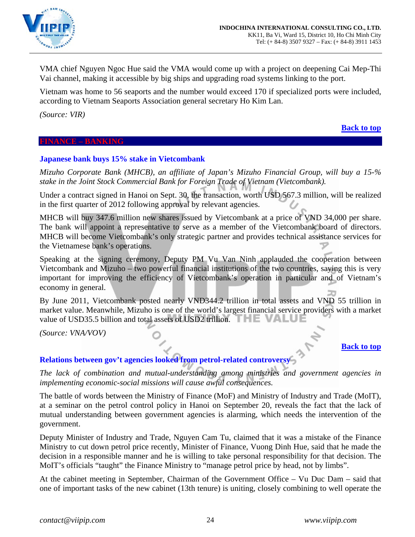

VMA chief Nguyen Ngoc Hue said the VMA would come up with a project on deepening Cai Mep-Thi Vai channel, making it accessible by big ships and upgrading road systems linking to the port.

Vietnam was home to 56 seaports and the number would exceed 170 if specialized ports were included, according to Vietnam Seaports Association general secretary Ho Kim Lan.

*(Source: VIR)* 

#### <span id="page-23-0"></span>**FINANCE – BANKING**

## <span id="page-23-1"></span>**Japanese bank buys 15% stake in Vietcombank**

*Mizuho Corporate Bank (MHCB), an affiliate of Japan's Mizuho Financial Group, will buy a 15-% stake in the Joint Stock Commercial Bank for Foreign Trade of Vietnam (Vietcombank).* 

Under a contract signed in Hanoi on Sept. 30, the transaction, worth USD 567.3 million, will be realized in the first quarter of 2012 following approval by relevant agencies.

MHCB will buy 347.6 million new shares issued by Vietcombank at a price of VND 34,000 per share. The bank will appoint a representative to serve as a member of the Vietcombank board of directors. MHCB will become Vietcombank's only strategic partner and provides technical assistance services for the Vietnamese bank's operations.

Speaking at the signing ceremony, Deputy PM Vu Van Ninh applauded the cooperation between Vietcombank and Mizuho – two powerful financial institutions of the two countries, saying this is very important for improving the efficiency of Vietcombank's operation in particular and of Vietnam's economy in general.

By June 2011, Vietcombank posted nearly VND344.2 trillion in total assets and VND 55 trillion in market value. Meanwhile, Mizuho is one of the world's largest financial service providers with a market value of USD35.5 billion and total assets of USD2 trillion. THE VALUE

*(Source: VNA/VOV)* 

## **[Back to top](#page-0-0)**

**[Back to top](#page-0-0)**

## <span id="page-23-2"></span>**Relations between gov't agencies looked from petrol-related controversy**

*The lack of combination and mutual-understanding among ministries and government agencies in implementing economic-social missions will cause awful consequences.* 

The battle of words between the Ministry of Finance (MoF) and Ministry of Industry and Trade (MoIT), at a seminar on the petrol control policy in Hanoi on September 20, reveals the fact that the lack of mutual understanding between government agencies is alarming, which needs the intervention of the government.

Deputy Minister of Industry and Trade, Nguyen Cam Tu, claimed that it was a mistake of the Finance Ministry to cut down petrol price recently, Minister of Finance, Vuong Dinh Hue, said that he made the decision in a responsible manner and he is willing to take personal responsibility for that decision. The MoIT's officials "taught" the Finance Ministry to "manage petrol price by head, not by limbs".

At the cabinet meeting in September, Chairman of the Government Office – Vu Duc Dam – said that one of important tasks of the new cabinet (13th tenure) is uniting, closely combining to well operate the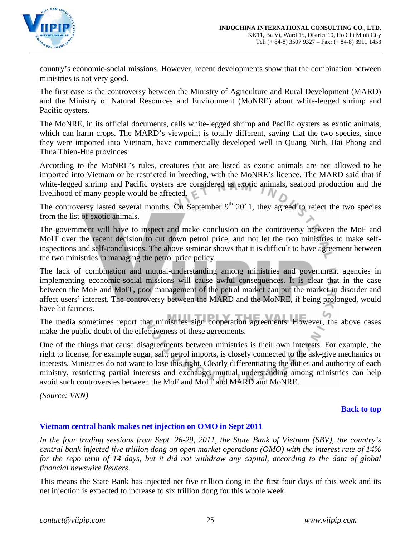

country's economic-social missions. However, recent developments show that the combination between ministries is not very good.

The first case is the controversy between the Ministry of Agriculture and Rural Development (MARD) and the Ministry of Natural Resources and Environment (MoNRE) about white-legged shrimp and Pacific oysters.

The MoNRE, in its official documents, calls white-legged shrimp and Pacific oysters as exotic animals, which can harm crops. The MARD's viewpoint is totally different, saying that the two species, since they were imported into Vietnam, have commercially developed well in Quang Ninh, Hai Phong and Thua Thien-Hue provinces.

According to the MoNRE's rules, creatures that are listed as exotic animals are not allowed to be imported into Vietnam or be restricted in breeding, with the MoNRE's licence. The MARD said that if white-legged shrimp and Pacific oysters are considered as exotic animals, seafood production and the livelihood of many people would be affected.

The controversy lasted several months. On September  $9<sup>th</sup>$  2011, they agreed to reject the two species from the list of exotic animals.

The government will have to inspect and make conclusion on the controversy between the MoF and MoIT over the recent decision to cut down petrol price, and not let the two ministries to make selfinspections and self-conclusions. The above seminar shows that it is difficult to have agreement between the two ministries in managing the petrol price policy.

The lack of combination and mutual-understanding among ministries and government agencies in implementing economic-social missions will cause awful consequences. It is clear that in the case between the MoF and MoIT, poor management of the petrol market can put the market in disorder and affect users' interest. The controversy between the MARD and the MoNRE, if being prolonged, would have hit farmers.

The media sometimes report that ministries sign cooperation agreements. However, the above cases make the public doubt of the effectiveness of these agreements.

One of the things that cause disagreements between ministries is their own interests. For example, the right to license, for example sugar, salt, petrol imports, is closely connected to the ask-give mechanics or interests. Ministries do not want to lose this right. Clearly differentiating the duties and authority of each ministry, restricting partial interests and exchange, mutual understanding among ministries can help avoid such controversies between the MoF and MoIT and MARD and MoNRE.

*(Source: VNN)*

## **[Back to top](#page-0-0)**

## <span id="page-24-0"></span>**Vietnam central bank makes net injection on OMO in Sept 2011**

*In the four trading sessions from Sept. 26-29, 2011, the State Bank of Vietnam (SBV), the country's central bank injected five trillion dong on open market operations (OMO) with the interest rate of 14%*  for the repo term of 14 days, but it did not withdraw any capital, according to the data of global *financial newswire Reuters.*

This means the State Bank has injected net five trillion dong in the first four days of this week and its net injection is expected to increase to six trillion dong for this whole week.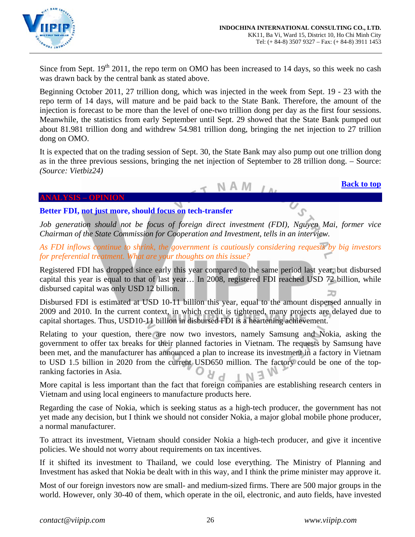

Since from Sept.  $19<sup>th</sup> 2011$ , the repo term on OMO has been increased to 14 days, so this week no cash was drawn back by the central bank as stated above.

Beginning October 2011, 27 trillion dong, which was injected in the week from Sept. 19 - 23 with the repo term of 14 days, will mature and be paid back to the State Bank. Therefore, the amount of the injection is forecast to be more than the level of one-two trillion dong per day as the first four sessions. Meanwhile, the statistics from early September until Sept. 29 showed that the State Bank pumped out about 81.981 trillion dong and withdrew 54.981 trillion dong, bringing the net injection to 27 trillion dong on OMO.

It is expected that on the trading session of Sept. 30, the State Bank may also pump out one trillion dong as in the three previous sessions, bringing the net injection of September to 28 trillion dong. – Source: *(Source: Vietbiz24)*

N A M

**[Back to top](#page-0-0)**

#### **ANALYSIS – OPINION**

# <span id="page-25-1"></span><span id="page-25-0"></span>**Better FDI, not just more, should focus on tech-transfer**

*Job generation should not be focus of foreign direct investment (FDI), Nguyen Mai, former vice Chairman of the State Commission for Cooperation and Investment, tells in an interview.* 

*As FDI inflows continue to shrink, the government is cautiously considering requests by big investors for preferential treatment. What are your thoughts on this issue?* 

Registered FDI has dropped since early this year compared to the same period last year, but disbursed capital this year is equal to that of last year… In 2008, registered FDI reached USD 72 billion, while disbursed capital was only USD 12 billion.

Disbursed FDI is estimated at USD 10-11 billion this year, equal to the amount dispersed annually in 2009 and 2010. In the current context, in which credit is tightened, many projects are delayed due to capital shortages. Thus, USD10-11 billion in disbursed FDI is a heartening achievement.

Relating to your question, there are now two investors, namely Samsung and Nokia, asking the government to offer tax breaks for their planned factories in Vietnam. The requests by Samsung have been met, and the manufacturer has announced a plan to increase its investment in a factory in Vietnam to USD 1.5 billion in 2020 from the current USD650 million. The factory could be one of the topranking factories in Asia.

More capital is less important than the fact that foreign companies are establishing research centers in Vietnam and using local engineers to manufacture products here.

Regarding the case of Nokia, which is seeking status as a high-tech producer, the government has not yet made any decision, but I think we should not consider Nokia, a major global mobile phone producer, a normal manufacturer.

To attract its investment, Vietnam should consider Nokia a high-tech producer, and give it incentive policies. We should not worry about requirements on tax incentives.

If it shifted its investment to Thailand, we could lose everything. The Ministry of Planning and Investment has asked that Nokia be dealt with in this way, and I think the prime minister may approve it.

Most of our foreign investors now are small- and medium-sized firms. There are 500 major groups in the world. However, only 30-40 of them, which operate in the oil, electronic, and auto fields, have invested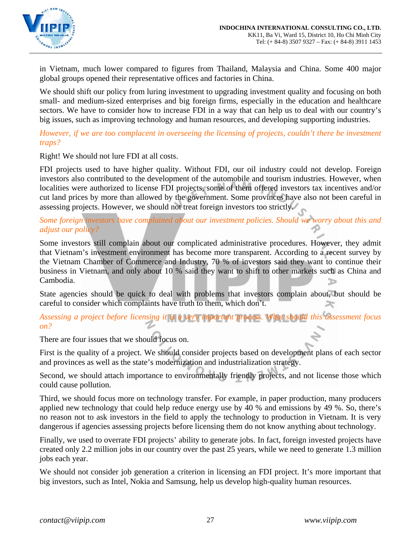

in Vietnam, much lower compared to figures from Thailand, Malaysia and China. Some 400 major global groups opened their representative offices and factories in China.

We should shift our policy from luring investment to upgrading investment quality and focusing on both small- and medium-sized enterprises and big foreign firms, especially in the education and healthcare sectors. We have to consider how to increase FDI in a way that can help us to deal with our country's big issues, such as improving technology and human resources, and developing supporting industries.

*However, if we are too complacent in overseeing the licensing of projects, couldn't there be investment traps?* 

Right! We should not lure FDI at all costs.

FDI projects used to have higher quality. Without FDI, our oil industry could not develop. Foreign investors also contributed to the development of the automobile and tourism industries. However, when localities were authorized to license FDI projects, some of them offered investors tax incentives and/or cut land prices by more than allowed by the government. Some provinces have also not been careful in assessing projects. However, we should not treat foreign investors too strictly.

*Some foreign investors have complained about our investment policies. Should we worry about this and adjust our policy?* 

Some investors still complain about our complicated administrative procedures. However, they admit that Vietnam's investment environment has become more transparent. According to a recent survey by the Vietnam Chamber of Commerce and Industry, 70 % of investors said they want to continue their business in Vietnam, and only about 10 % said they want to shift to other markets such as China and Cambodia.

State agencies should be quick to deal with problems that investors complain about, but should be careful to consider which complaints have truth to them, which don't.

*Assessing a project before licensing it is a very important process. What should this assessment focus on?* 

There are four issues that we should focus on.

First is the quality of a project. We should consider projects based on development plans of each sector and provinces as well as the state's modernization and industrialization strategy.

Second, we should attach importance to environmentally friendly projects, and not license those which could cause pollution.

Third, we should focus more on technology transfer. For example, in paper production, many producers applied new technology that could help reduce energy use by 40 % and emissions by 49 %. So, there's no reason not to ask investors in the field to apply the technology to production in Vietnam. It is very dangerous if agencies assessing projects before licensing them do not know anything about technology.

Finally, we used to overrate FDI projects' ability to generate jobs. In fact, foreign invested projects have created only 2.2 million jobs in our country over the past 25 years, while we need to generate 1.3 million jobs each year.

We should not consider job generation a criterion in licensing an FDI project. It's more important that big investors, such as Intel, Nokia and Samsung, help us develop high-quality human resources.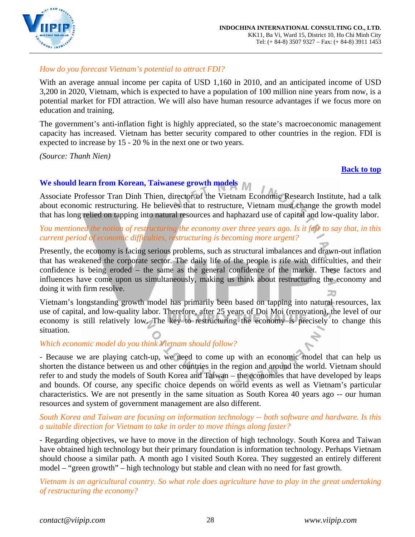

# *How do you forecast Vietnam's potential to attract FDI?*

With an average annual income per capita of USD 1,160 in 2010, and an anticipated income of USD 3,200 in 2020, Vietnam, which is expected to have a population of 100 million nine years from now, is a potential market for FDI attraction. We will also have human resource advantages if we focus more on education and training.

The government's anti-inflation fight is highly appreciated, so the state's macroeconomic management capacity has increased. Vietnam has better security compared to other countries in the region. FDI is expected to increase by 15 - 20 % in the next one or two years.

*(Source: Thanh Nien)* 

## **[Back to top](#page-0-0)**

# <span id="page-27-0"></span>**We should learn from Korean, Taiwanese growth models**

Associate Professor Tran Dinh Thien, director of the Vietnam Economic Research Institute, had a talk about economic restructuring. He believes that to restructure, Vietnam must change the growth model that has long relied on tapping into natural resources and haphazard use of capital and low-quality labor.

# *You mentioned the notion of restructuring the economy over three years ago. Is it fair to say that, in this current period of economic difficulties, restructuring is becoming more urgent?*

Presently, the economy is facing serious problems, such as structural imbalances and drawn-out inflation that has weakened the corporate sector. The daily life of the people is rife with difficulties, and their confidence is being eroded – the same as the general confidence of the market. These factors and influences have come upon us simultaneously, making us think about restructuring the economy and doing it with firm resolve. ⊐⊐

Vietnam's longstanding growth model has primarily been based on tapping into natural resources, lax use of capital, and low-quality labor. Therefore, after 25 years of Doi Moi (renovation), the level of our economy is still relatively low. The key to restructuring the economy is precisely to change this situation.

# *Which economic model do you think Vietnam should follow?*

- Because we are playing catch-up, we need to come up with an economic model that can help us shorten the distance between us and other countries in the region and around the world. Vietnam should refer to and study the models of South Korea and Taiwan – the economies that have developed by leaps and bounds. Of course, any specific choice depends on world events as well as Vietnam's particular characteristics. We are not presently in the same situation as South Korea 40 years ago -- our human resources and system of government management are also different.

## *South Korea and Taiwan are focusing on information technology -- both software and hardware. Is this a suitable direction for Vietnam to take in order to move things along faster?*

- Regarding objectives, we have to move in the direction of high technology. South Korea and Taiwan have obtained high technology but their primary foundation is information technology. Perhaps Vietnam should choose a similar path. A month ago I visited South Korea. They suggested an entirely different model – "green growth" – high technology but stable and clean with no need for fast growth.

*Vietnam is an agricultural country. So what role does agriculture have to play in the great undertaking of restructuring the economy?*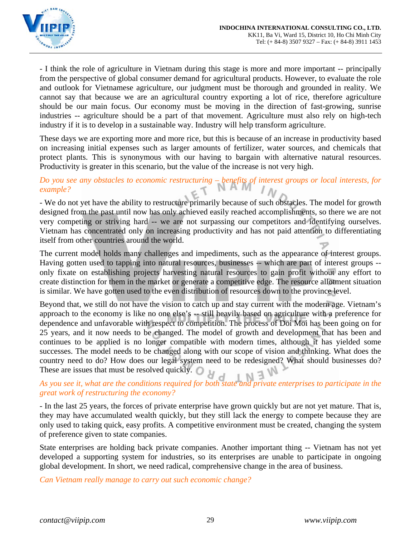

- I think the role of agriculture in Vietnam during this stage is more and more important -- principally from the perspective of global consumer demand for agricultural products. However, to evaluate the role and outlook for Vietnamese agriculture, our judgment must be thorough and grounded in reality. We cannot say that because we are an agricultural country exporting a lot of rice, therefore agriculture should be our main focus. Our economy must be moving in the direction of fast-growing, sunrise industries -- agriculture should be a part of that movement. Agriculture must also rely on high-tech industry if it is to develop in a sustainable way. Industry will help transform agriculture.

These days we are exporting more and more rice, but this is because of an increase in productivity based on increasing initial expenses such as larger amounts of fertilizer, water sources, and chemicals that protect plants. This is synonymous with our having to bargain with alternative natural resources. Productivity is greater in this scenario, but the value of the increase is not very high.

# *Do you see any obstacles to economic restructuring – benefits of interest groups or local interests, for example?*

- We do not yet have the ability to restructure primarily because of such obstacles. The model for growth designed from the past until now has only achieved easily reached accomplishments, so there we are not very competing or striving hard -- we are not surpassing our competitors and identifying ourselves. Vietnam has concentrated only on increasing productivity and has not paid attention to differentiating itself from other countries around the world.

The current model holds many challenges and impediments, such as the appearance of interest groups. Having gotten used to tapping into natural resources, businesses -- which are part of interest groups - only fixate on establishing projects harvesting natural resources to gain profit without any effort to create distinction for them in the market or generate a competitive edge. The resource allotment situation is similar. We have gotten used to the even distribution of resources down to the province level.

Beyond that, we still do not have the vision to catch up and stay current with the modern age. Vietnam's approach to the economy is like no one else's -- still heavily based on agriculture with a preference for dependence and unfavorable with respect to competition. The process of Doi Moi has been going on for 25 years, and it now needs to be changed. The model of growth and development that has been and continues to be applied is no longer compatible with modern times, although it has yielded some successes. The model needs to be changed along with our scope of vision and thinking. What does the country need to do? How does our legal system need to be redesigned? What should businesses do? These are issues that must be resolved quickly.

# *As you see it, what are the conditions required for both state and private enterprises to participate in the great work of restructuring the economy?*

- In the last 25 years, the forces of private enterprise have grown quickly but are not yet mature. That is, they may have accumulated wealth quickly, but they still lack the energy to compete because they are only used to taking quick, easy profits. A competitive environment must be created, changing the system of preference given to state companies.

State enterprises are holding back private companies. Another important thing -- Vietnam has not yet developed a supporting system for industries, so its enterprises are unable to participate in ongoing global development. In short, we need radical, comprehensive change in the area of business.

*Can Vietnam really manage to carry out such economic change?*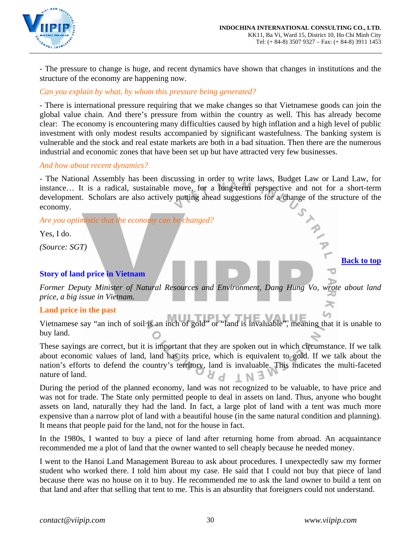

- The pressure to change is huge, and recent dynamics have shown that changes in institutions and the structure of the economy are happening now.

## *Can you explain by what, by whom this pressure being generated?*

- There is international pressure requiring that we make changes so that Vietnamese goods can join the global value chain. And there's pressure from within the country as well. This has already become clear: The economy is encountering many difficulties caused by high inflation and a high level of public investment with only modest results accompanied by significant wastefulness. The banking system is vulnerable and the stock and real estate markets are both in a bad situation. Then there are the numerous industrial and economic zones that have been set up but have attracted very few businesses.

## *And how about recent dynamics?*

- The National Assembly has been discussing in order to write laws, Budget Law or Land Law, for instance… It is a radical, sustainable move, for a long-term perspective and not for a short-term development. Scholars are also actively putting ahead suggestions for a change of the structure of the economy.

*Are you optimistic that the economy can be changed?* 

Yes, I do.

*(Source: SGT)* 

## <span id="page-29-0"></span>**Story of land price in Vietnam**

*Former Deputy Minister of Natural Resources and Environment, Dang Hung Vo, wrote about land price, a big issue in Vietnam.*   $\approx$ 

## **Land price in the past**

Vietnamese say "an inch of soil is an inch of gold" or "land is invaluable", meaning that it is unable to buy land.

These sayings are correct, but it is important that they are spoken out in which circumstance. If we talk about economic values of land, land has its price, which is equivalent to gold. If we talk about the nation's efforts to defend the country's territory, land is invaluable. This indicates the multi-faceted nature of land.

During the period of the planned economy, land was not recognized to be valuable, to have price and was not for trade. The State only permitted people to deal in assets on land. Thus, anyone who bought assets on land, naturally they had the land. In fact, a large plot of land with a tent was much more expensive than a narrow plot of land with a beautiful house (in the same natural condition and planning). It means that people paid for the land, not for the house in fact.

In the 1980s, I wanted to buy a piece of land after returning home from abroad. An acquaintance recommended me a plot of land that the owner wanted to sell cheaply because he needed money.

I went to the Hanoi Land Management Bureau to ask about procedures. I unexpectedly saw my former student who worked there. I told him about my case. He said that I could not buy that piece of land because there was no house on it to buy. He recommended me to ask the land owner to build a tent on that land and after that selling that tent to me. This is an absurdity that foreigners could not understand.

**[Back to top](#page-0-0)**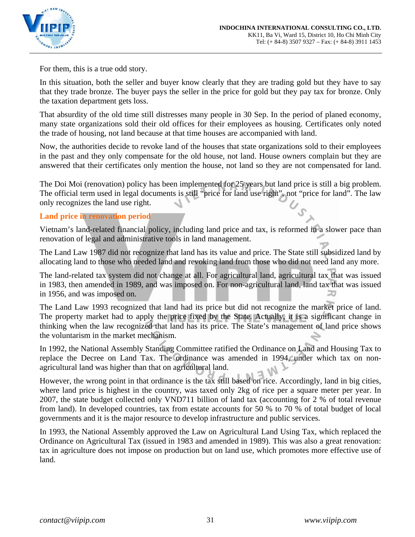

For them, this is a true odd story.

In this situation, both the seller and buyer know clearly that they are trading gold but they have to say that they trade bronze. The buyer pays the seller in the price for gold but they pay tax for bronze. Only the taxation department gets loss.

That absurdity of the old time still distresses many people in 30 Sep. In the period of planed economy, many state organizations sold their old offices for their employees as housing. Certificates only noted the trade of housing, not land because at that time houses are accompanied with land.

Now, the authorities decide to revoke land of the houses that state organizations sold to their employees in the past and they only compensate for the old house, not land. House owners complain but they are answered that their certificates only mention the house, not land so they are not compensated for land.

The Doi Moi (renovation) policy has been implemented for 25 years but land price is still a big problem. The official term used in legal documents is still "price for land use right", not "price for land". The law only recognizes the land use right.

## **Land price in renovation period**

Vietnam's land-related financial policy, including land price and tax, is reformed in a slower pace than renovation of legal and administrative tools in land management.

The Land Law 1987 did not recognize that land has its value and price. The State still subsidized land by allocating land to those who needed land and revoking land from those who did not need land any more.

The land-related tax system did not change at all. For agricultural land, agricultural tax that was issued in 1983, then amended in 1989, and was imposed on. For non-agricultural land, land tax that was issued in 1956, and was imposed on.

The Land Law 1993 recognized that land had its price but did not recognize the market price of land. The property market had to apply the price fixed by the State. Actually, it is a significant change in thinking when the law recognized that land has its price. The State's management of land price shows the voluntarism in the market mechanism.

In 1992, the National Assembly Standing Committee ratified the Ordinance on Land and Housing Tax to replace the Decree on Land Tax. The ordinance was amended in 1994, under which tax on nonagricultural land was higher than that on agricultural land.

However, the wrong point in that ordinance is the tax still based on rice. Accordingly, land in big cities, where land price is highest in the country, was taxed only 2kg of rice per a square meter per year. In 2007, the state budget collected only VND711 billion of land tax (accounting for 2 % of total revenue from land). In developed countries, tax from estate accounts for 50 % to 70 % of total budget of local governments and it is the major resource to develop infrastructure and public services.

In 1993, the National Assembly approved the Law on Agricultural Land Using Tax, which replaced the Ordinance on Agricultural Tax (issued in 1983 and amended in 1989). This was also a great renovation: tax in agriculture does not impose on production but on land use, which promotes more effective use of land.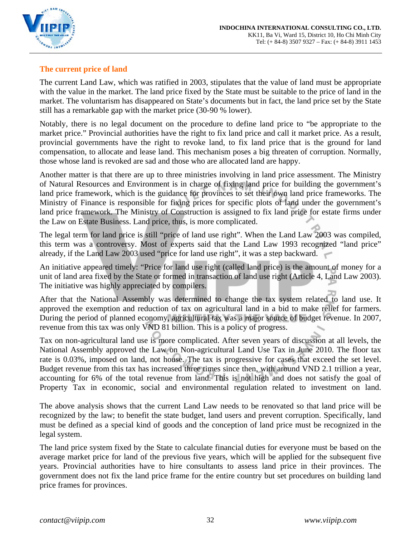

# **The current price of land**

The current Land Law, which was ratified in 2003, stipulates that the value of land must be appropriate with the value in the market. The land price fixed by the State must be suitable to the price of land in the market. The voluntarism has disappeared on State's documents but in fact, the land price set by the State still has a remarkable gap with the market price (30-90 % lower).

Notably, there is no legal document on the procedure to define land price to "be appropriate to the market price." Provincial authorities have the right to fix land price and call it market price. As a result, provincial governments have the right to revoke land, to fix land price that is the ground for land compensation, to allocate and lease land. This mechanism poses a big threaten of corruption. Normally, those whose land is revoked are sad and those who are allocated land are happy.

Another matter is that there are up to three ministries involving in land price assessment. The Ministry of Natural Resources and Environment is in charge of fixing land price for building the government's land price framework, which is the guidance for provinces to set their own land price frameworks. The Ministry of Finance is responsible for fixing prices for specific plots of land under the government's land price framework. The Ministry of Construction is assigned to fix land price for estate firms under the Law on Estate Business. Land price, thus, is more complicated.

The legal term for land price is still "price of land use right". When the Land Law 2003 was compiled, this term was a controversy. Most of experts said that the Land Law 1993 recognized "land price" already, if the Land Law 2003 used "price for land use right", it was a step backward.

An initiative appeared timely: "Price for land use right (called land price) is the amount of money for a unit of land area fixed by the State or formed in transaction of land use right (Article 4, Land Law 2003). The initiative was highly appreciated by compilers.

After that the National Assembly was determined to change the tax system related to land use. It approved the exemption and reduction of tax on agricultural land in a bid to make relief for farmers. During the period of planned economy, agricultural tax was a major source of budget revenue. In 2007, revenue from this tax was only VND 81 billion. This is a policy of progress.

Tax on non-agricultural land use is more complicated. After seven years of discussion at all levels, the National Assembly approved the Law on Non-agricultural Land Use Tax in June 2010. The floor tax rate is 0.03%, imposed on land, not house. The tax is progressive for cases that exceed the set level. Budget revenue from this tax has increased three times since then, with around VND 2.1 trillion a year, accounting for 6% of the total revenue from land. This is not high and does not satisfy the goal of Property Tax in economic, social and environmental regulation related to investment on land.

The above analysis shows that the current Land Law needs to be renovated so that land price will be recognized by the law; to benefit the state budget, land users and prevent corruption. Specifically, land must be defined as a special kind of goods and the conception of land price must be recognized in the legal system.

The land price system fixed by the State to calculate financial duties for everyone must be based on the average market price for land of the previous five years, which will be applied for the subsequent five years. Provincial authorities have to hire consultants to assess land price in their provinces. The government does not fix the land price frame for the entire country but set procedures on building land price frames for provinces.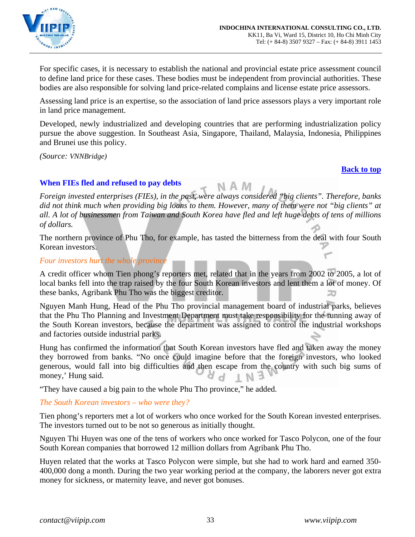

For specific cases, it is necessary to establish the national and provincial estate price assessment council to define land price for these cases. These bodies must be independent from provincial authorities. These bodies are also responsible for solving land price-related complains and license estate price assessors.

Assessing land price is an expertise, so the association of land price assessors plays a very important role in land price management.

Developed, newly industrialized and developing countries that are performing industrialization policy pursue the above suggestion. In Southeast Asia, Singapore, Thailand, Malaysia, Indonesia, Philippines and Brunei use this policy.

*(Source: VNNBridge)*

#### **[Back to top](#page-0-0)**

## <span id="page-32-0"></span>**When FIEs fled and refused to pay debts**

*Foreign invested enterprises (FIEs), in the past, were always considered "big clients". Therefore, banks did not think much when providing big loans to them. However, many of them were not "big clients" at all. A lot of businessmen from Taiwan and South Korea have fled and left huge debts of tens of millions of dollars.* 

The northern province of Phu Tho, for example, has tasted the bitterness from the deal with four South Korean investors.

## *Four investors hurt the whole province*

A credit officer whom Tien phong's reporters met, related that in the years from 2002 to 2005, a lot of local banks fell into the trap raised by the four South Korean investors and lent them a lot of money. Of these banks, Agribank Phu Tho was the biggest creditor.

Nguyen Manh Hung, Head of the Phu Tho provincial management board of industrial parks, believes that the Phu Tho Planning and Investment Department must take responsibility for the running away of the South Korean investors, because the department was assigned to control the industrial workshops and factories outside industrial parks.

Hung has confirmed the information that South Korean investors have fled and taken away the money they borrowed from banks. "No once could imagine before that the foreign investors, who looked generous, would fall into big difficulties and then escape from the country with such big sums of money,' Hung said.

"They have caused a big pain to the whole Phu Tho province," he added.

## *The South Korean investors – who were they?*

Tien phong's reporters met a lot of workers who once worked for the South Korean invested enterprises. The investors turned out to be not so generous as initially thought.

Nguyen Thi Huyen was one of the tens of workers who once worked for Tasco Polycon, one of the four South Korean companies that borrowed 12 million dollars from Agribank Phu Tho.

Huyen related that the works at Tasco Polycon were simple, but she had to work hard and earned 350- 400,000 dong a month. During the two year working period at the company, the laborers never got extra money for sickness, or maternity leave, and never got bonuses.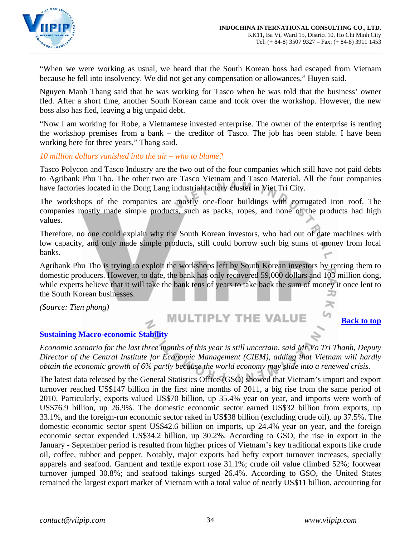

"When we were working as usual, we heard that the South Korean boss had escaped from Vietnam because he fell into insolvency. We did not get any compensation or allowances," Huyen said.

Nguyen Manh Thang said that he was working for Tasco when he was told that the business' owner fled. After a short time, another South Korean came and took over the workshop. However, the new boss also has fled, leaving a big unpaid debt.

"Now I am working for Robe, a Vietnamese invested enterprise. The owner of the enterprise is renting the workshop premises from a bank – the creditor of Tasco. The job has been stable. I have been working here for three years," Thang said.

## *10 million dollars vanished into the air – who to blame?*

Tasco Polycon and Tasco Industry are the two out of the four companies which still have not paid debts to Agribank Phu Tho. The other two are Tasco Vietnam and Tasco Material. All the four companies have factories located in the Dong Lang industrial factory cluster in Viet Tri City.

The workshops of the companies are mostly one-floor buildings with corrugated iron roof. The companies mostly made simple products, such as packs, ropes, and none of the products had high values.

Therefore, no one could explain why the South Korean investors, who had out of date machines with low capacity, and only made simple products, still could borrow such big sums of money from local banks.

Agribank Phu Tho is trying to exploit the workshops left by South Korean investors by renting them to domestic producers. However, to date, the bank has only recovered 59,000 dollars and 103 million dong, while experts believe that it will take the bank tens of years to take back the sum of money it once lent to the South Korean businesses.

*(Source: Tien phong)*

# **MULTIPLY THE VALUE**

**[Back to top](#page-0-0)**

 $\approx$ 

## <span id="page-33-0"></span>**Sustaining Macro-economic Stability**

*Economic scenario for the last three months of this year is still uncertain, said Mr Vo Tri Thanh, Deputy Director of the Central Institute for Economic Management (CIEM), adding that Vietnam will hardly obtain the economic growth of 6% partly because the world economy may slide into a renewed crisis.* 

The latest data released by the General Statistics Office (GSO) showed that Vietnam's import and export turnover reached US\$147 billion in the first nine months of 2011, a big rise from the same period of 2010. Particularly, exports valued US\$70 billion, up 35.4% year on year, and imports were worth of US\$76.9 billion, up 26.9%. The domestic economic sector earned US\$32 billion from exports, up 33.1%, and the foreign-run economic sector raked in US\$38 billion (excluding crude oil), up 37.5%. The domestic economic sector spent US\$42.6 billion on imports, up 24.4% year on year, and the foreign economic sector expended US\$34.2 billion, up 30.2%. According to GSO, the rise in export in the January - September period is resulted from higher prices of Vietnam's key traditional exports like crude oil, coffee, rubber and pepper. Notably, major exports had hefty export turnover increases, specially apparels and seafood. Garment and textile export rose 31.1%; crude oil value climbed 52%; footwear turnover jumped 30.8%; and seafood takings surged 26.4%. According to GSO, the United States remained the largest export market of Vietnam with a total value of nearly US\$11 billion, accounting for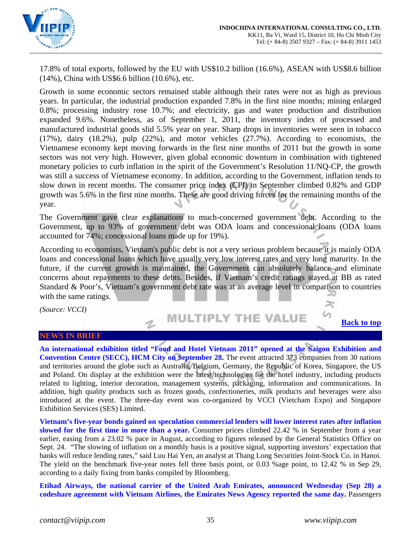

17.8% of total exports, followed by the EU with US\$10.2 billion (16.6%), ASEAN with US\$8.6 billion (14%), China with US\$6.6 billion (10.6%), etc.

Growth in some economic sectors remained stable although their rates were not as high as previous years. In particular, the industrial production expanded 7.8% in the first nine months; mining enlarged 0.8%; processing industry rose 10.7%; and electricity, gas and water production and distribution expanded 9.6%. Nonetheless, as of September 1, 2011, the inventory index of processed and manufactured industrial goods slid 5.5% year on year. Sharp drops in inventories were seen in tobacco (17%), dairy (18.2%), pulp (22%), and motor vehicles (27.7%). According to economists, the Vietnamese economy kept moving forwards in the first nine months of 2011 but the growth in some sectors was not very high. However, given global economic downturn in combination with tightened monetary policies to curb inflation in the spirit of the Government's Resolution 11/NQ-CP, the growth was still a success of Vietnamese economy. In addition, according to the Government, inflation tends to slow down in recent months. The consumer price index (CPI) in September climbed 0.82% and GDP growth was 5.6% in the first nine months. These are good driving forces for the remaining months of the year.

The Government gave clear explanations to much-concerned government debt. According to the Government, up to 93% of government debt was ODA loans and concessional loans (ODA loans accounted for 74%; concessional loans made up for 19%).

According to economists, Vietnam's public debt is not a very serious problem because it is mainly ODA loans and concessional loans which have usually very low interest rates and very long maturity. In the future, if the current growth is maintained, the Government can absolutely balance and eliminate concerns about repayments to these debts. Besides, if Vietnam's credit ratings stayed at BB as rated Standard & Poor's, Vietnam's government debt rate was at an average level in comparison to countries with the same ratings.

*(Source: VCCI)*

#### **MULTIPLY THE VALUE**  $\mathbf{z}$

#### **[Back to top](#page-0-0)**

≍

#### **NEWS IN BRIEF**

<span id="page-34-0"></span>**An international exhibition titled "Food and Hotel Vietnam 2011" opened at the Saigon Exhibition and Convention Centre (SECC), HCM City on September 28.** The event attracted 373 companies from 30 nations and territories around the globe such as Australia, Belgium, Germany, the Republic of Korea, Singapore, the US and Poland. On display at the exhibition were the latest technologies for the hotel industry, including products related to lighting, interior decoration, management systems, packaging, information and communications. In addition, high quality products such as frozen goods, confectioneries, milk products and beverages were also introduced at the event. The three-day event was co-organized by VCCI (Vietcham Expo) and Singapore Exhibition Services (SES) Limited.

**Vietnam's five-year bonds gained on speculation commercial lenders will lower interest rates after inflation slowed for the first time in more than a year.** Consumer prices climbed 22.42 % in September from a year earlier, easing from a 23.02 % pace in August, according to figures released by the General Statistics Office on Sept. 24. "The slowing of inflation on a monthly basis is a positive signal, supporting investors' expectation that banks will reduce lending rates," said Luu Hai Yen, an analyst at Thang Long Securities Joint-Stock Co. in Hanoi. The yield on the benchmark five-year notes fell three basis point, or 0.03 %age point, to 12.42 % in Sep 29, according to a daily fixing from banks compiled by Bloomberg.

**Etihad Airways, the national carrier of the United Arab Emirates, announced Wednesday (Sep 28) a codeshare agreement with Vietnam Airlines, the Emirates News Agency reported the same day.** Passengers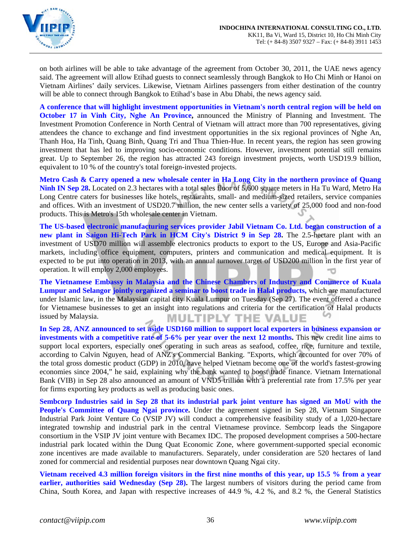

on both airlines will be able to take advantage of the agreement from October 30, 2011, the UAE news agency said. The agreement will allow Etihad guests to connect seamlessly through Bangkok to Ho Chi Minh or Hanoi on Vietnam Airlines' daily services. Likewise, Vietnam Airlines passengers from either destination of the country will be able to connect through Bangkok to Etihad's base in Abu Dhabi, the news agency said.

**A conference that will highlight investment opportunities in Vietnam's north central region will be held on October 17 in Vinh City, Nghe An Province,** announced the Ministry of Planning and Investment. The Investment Promotion Conference in North Central of Vietnam will attract more than 700 representatives, giving attendees the chance to exchange and find investment opportunities in the six regional provinces of Nghe An, Thanh Hoa, Ha Tinh, Quang Binh, Quang Tri and Thua Thien-Hue. In recent years, the region has seen growing investment that has led to improving socio-economic conditions. However, investment potential still remains great. Up to September 26, the region has attracted 243 foreign investment projects, worth USD19.9 billion, equivalent to 10 % of the country's total foreign-invested projects.

**Metro Cash & Carry opened a new wholesale center in Ha Long City in the northern province of Quang Ninh IN Sep 28.** Located on 2.3 hectares with a total sales floor of 5,600 square meters in Ha Tu Ward, Metro Ha Long Centre caters for businesses like hotels, restaurants, small- and medium-sized retailers, service companies and offices. With an investment of USD20.7 million, the new center sells a variety of 25,000 food and non-food products. This is Metro's 15th wholesale center in Vietnam.

**The US-based electronic manufacturing services provider Jabil Vietnam Co. Ltd. began construction of a new plant in Saigon Hi-Tech Park in HCM City's District 9 in Sep 28.** The 2.5-hectare plant with an investment of USD70 million will assemble electronics products to export to the US, Europe and Asia-Pacific markets, including office equipment, computers, printers and communication and medical equipment. It is expected to be put into operation in 2013, with an annual turnover target of USD200 million in the first year of operation. It will employ 2,000 employees.

**The Vietnamese Embassy in Malaysia and the Chinese Chambers of Industry and Commerce of Kuala Lumpur and Selangor jointly organized a seminar to boost trade in Halal products,** which are manufactured under Islamic law, in the Malaysian capital city Kuala Lumpur on Tuesday (Sep 27). The event offered a chance for Vietnamese businesses to get an insight into regulations and criteria for the certification of Halal products issued by Malaysia. **MULTIPLY THE VALUE** 

**In Sep 28, ANZ announced to set aside USD160 million to support local exporters in business expansion or investments with a competitive rate of 5-6% per year over the next 12 months.** This new credit line aims to support local exporters, especially ones operating in such areas as seafood, coffee, rice, furniture and textile, according to Calvin Nguyen, head of ANZ's Commercial Banking. "Exports, which accounted for over 70% of the total gross domestic product (GDP) in 2010, have helped Vietnam become one of the world's fastest-growing economies since 2004," he said, explaining why the bank wanted to boost trade finance. Vietnam International Bank (VIB) in Sep 28 also announced an amount of VND5 trillion with a preferential rate from 17.5% per year for firms exporting key products as well as producing basic ones.

**Sembcorp Industries said in Sep 28 that its industrial park joint venture has signed an MoU with the**  People's Committee of Quang Ngai province. Under the agreement signed in Sep 28, Vietnam Singapore Industrial Park Joint Venture Co (VSIP JV) will conduct a comprehensive feasibility study of a 1,020-hectare integrated township and industrial park in the central Vietnamese province. Sembcorp leads the Singapore consortium in the VSIP JV joint venture with Becamex IDC. The proposed development comprises a 500-hectare industrial park located within the Dung Quat Economic Zone, where government-supported special economic zone incentives are made available to manufacturers. Separately, under consideration are 520 hectares of land zoned for commercial and residential purposes near downtown Quang Ngai city.

**Vietnam received 4.3 million foreign visitors in the first nine months of this year, up 15.5 % from a year earlier, authorities said Wednesday (Sep 28).** The largest numbers of visitors during the period came from China, South Korea, and Japan with respective increases of 44.9 %, 4.2 %, and 8.2 %, the General Statistics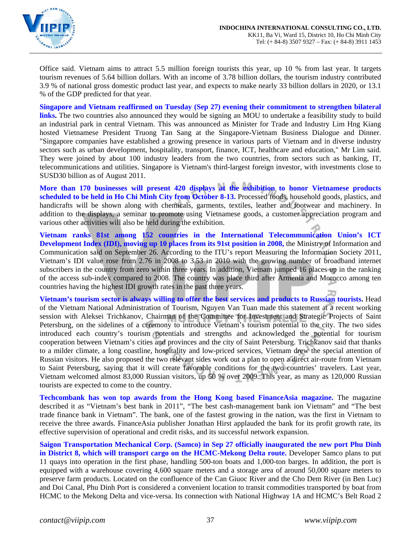

Office said. Vietnam aims to attract 5.5 million foreign tourists this year, up 10 % from last year. It targets tourism revenues of 5.64 billion dollars. With an income of 3.78 billion dollars, the tourism industry contributed 3.9 % of national gross domestic product last year, and expects to make nearly 33 billion dollars in 2020, or 13.1 % of the GDP predicted for that year.

**Singapore and Vietnam reaffirmed on Tuesday (Sep 27) evening their commitment to strengthen bilateral links.** The two countries also announced they would be signing an MOU to undertake a feasibility study to build an industrial park in central Vietnam. This was announced as Minister for Trade and Industry Lim Hng Kiang hosted Vietnamese President Truong Tan Sang at the Singapore-Vietnam Business Dialogue and Dinner. "Singapore companies have established a growing presence in various parts of Vietnam and in diverse industry sectors such as urban development, hospitality, transport, finance, ICT, healthcare and education," Mr Lim said. They were joined by about 100 industry leaders from the two countries, from sectors such as banking, IT, telecommunications and utilities. Singapore is Vietnam's third-largest foreign investor, with investments close to SUSD30 billion as of August 2011.

**More than 170 businesses will present 420 displays at the exhibition to honor Vietnamese products scheduled to be held in Ho Chi Minh City from October 8-13.** Processed foods, household goods, plastics, and handicrafts will be shown along with chemicals, garments, textiles, leather and footwear and machinery. In addition to the displays, a seminar to promote using Vietnamese goods, a customer appreciation program and various other activities will also be held during the exhibition.

**Vietnam ranks 81st among 152 countries in the International Telecommunication Union's ICT Development Index (IDI), moving up 10 places from its 91st position in 2008,** the Ministry of Information and Communication said on September 26. According to the ITU's report Measuring the Information Society 2011, Vietnam's IDI value rose from 2.76 in 2008 to 3.53 in 2010 with the growing number of broadband internet subscribers in the country from zero within three years. In addition, Vietnam jumped 16 places up in the ranking of the access sub-index compared to 2008. The country was place third after Armenia and Morocco among ten countries having the highest IDI growth rates in the past three years.

**Vietnam's tourism sector is always willing to offer the best services and products to Russian tourists.** Head of the Vietnam National Administration of Tourism, Nguyen Van Tuan made this statement at a recent working session with Aleksei Trichkanov, Chairman of the Committee for Investment and Strategic Projects of Saint Petersburg, on the sidelines of a ceremony to introduce Vietnam's tourism potential to the city. The two sides introduced each country's tourism potentials and strengths and acknowledged the potential for tourism cooperation between Vietnam's cities and provinces and the city of Saint Petersburg. Trichkanov said that thanks to a milder climate, a long coastline, hospitality and low-priced services, Vietnam drew the special attention of Russian visitors. He also proposed the two relevant sides work out a plan to open a direct air-route from Vietnam to Saint Petersburg, saying that it will create favorable conditions for the two countries' travelers. Last year, Vietnam welcomed almost 83,000 Russian visitors, up 50 % over 2009. This year, as many as 120,000 Russian tourists are expected to come to the country.

**Techcombank has won top awards from the Hong Kong based FinanceAsia magazine.** The magazine described it as "Vietnam's best bank in 2011", "The best cash-management bank ion Vietnam" and "The best trade finance bank in Vietnam". The bank, one of the fastest growing in the nation, was the first in Vietnam to receive the three awards. FinanceAsia publisher Jonathan Hirst applauded the bank for its profit growth rate, its effective supervision of operational and credit risks, and its successful network expansion.

**Saigon Transportation Mechanical Corp. (Samco) in Sep 27 officially inaugurated the new port Phu Dinh in District 8, which will transport cargo on the HCMC-Mekong Delta route.** Developer Samco plans to put 11 quays into operation in the first phase, handling 500-ton boats and 1,000-ton barges. In addition, the port is equipped with a warehouse covering 4,600 square meters and a storage area of around 50,000 square meters to preserve farm products. Located on the confluence of the Can Giuoc River and the Cho Dem River (in Ben Luc) and Doi Canal, Phu Dinh Port is considered a convenient location to transit commodities transported by boat from HCMC to the Mekong Delta and vice-versa. Its connection with National Highway 1A and HCMC's Belt Road 2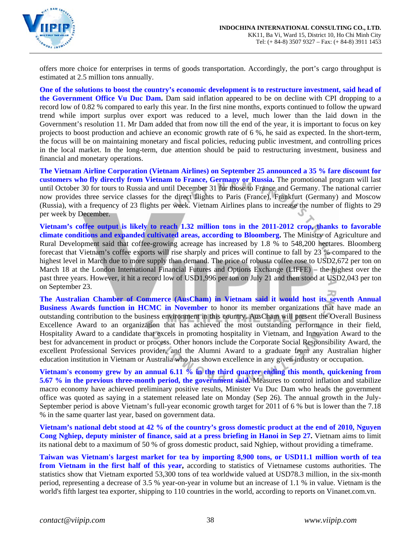

offers more choice for enterprises in terms of goods transportation. Accordingly, the port's cargo throughput is estimated at 2.5 million tons annually.

**One of the solutions to boost the country's economic development is to restructure investment, said head of the Government Office Vu Duc Dam.** Dam said inflation appeared to be on decline with CPI dropping to a record low of 0.82 % compared to early this year. In the first nine months, exports continued to follow the upward trend while import surplus over export was reduced to a level, much lower than the laid down in the Government's resolution 11. Mr Dam added that from now till the end of the year, it is important to focus on key projects to boost production and achieve an economic growth rate of 6 %, he said as expected. In the short-term, the focus will be on maintaining monetary and fiscal policies, reducing public investment, and controlling prices in the local market. In the long-term, due attention should be paid to restructuring investment, business and financial and monetary operations.

**The Vietnam Airline Corporation (Vietnam Airlines) on September 25 announced a 35 % fare discount for customers who fly directly from Vietnam to France, Germany or Russia.** The promotional program will last until October 30 for tours to Russia and until December 31 for those to France and Germany. The national carrier now provides three service classes for the direct flights to Paris (France), Frankfurt (Germany) and Moscow (Russia), with a frequency of 23 flights per week. Vietnam Airlines plans to increase the number of flights to 29 per week by December.

**Vietnam's coffee output is likely to reach 1.32 million tons in the 2011-2012 crop, thanks to favorable climate conditions and expanded cultivated areas, according to Bloomberg.** The Ministry of Agriculture and Rural Development said that coffee-growing acreage has increased by 1.8 % to 548,200 hectares. Bloomberg forecast that Vietnam's coffee exports will rise sharply and prices will continue to fall by 23 % compared to the highest level in March due to more supply than demand. The price of robusta coffee rose to USD2,672 per ton on March 18 at the London International Financial Futures and Options Exchange (LIFFE) – the highest over the past three years. However, it hit a record low of USD1,996 per ton on July 21 and then stood at USD2,043 per ton on September 23.

**The Australian Chamber of Commerce (AusCham) in Vietnam said it would host its seventh Annual Business Awards function in HCMC in November** to honor its member organizations that have made an outstanding contribution to the business environment in this country. AusCham will present the Overall Business Excellence Award to an organization that has achieved the most outstanding performance in their field, Hospitality Award to a candidate that excels in promoting hospitality in Vietnam, and Innovation Award to the best for advancement in product or process. Other honors include the Corporate Social Responsibility Award, the excellent Professional Services provider, and the Alumni Award to a graduate from any Australian higher education institution in Vietnam or Australia who has shown excellence in any given industry or occupation.

**Vietnam's economy grew by an annual 6.11 % in the third quarter ending this month, quickening from 5.67 % in the previous three-month period, the government said.** Measures to control inflation and stabilize macro economy have achieved preliminary positive results, Minister Vu Duc Dam who heads the government office was quoted as saying in a statement released late on Monday (Sep 26). The annual growth in the July-September period is above Vietnam's full-year economic growth target for 2011 of 6 % but is lower than the 7.18 % in the same quarter last year, based on government data.

**Vietnam's national debt stood at 42 % of the country's gross domestic product at the end of 2010, Nguyen Cong Nghiep, deputy minister of finance, said at a press briefing in Hanoi in Sep 27.** Vietnam aims to limit its national debt to a maximum of 50 % of gross domestic product, said Nghiep, without providing a timeframe.

**Taiwan was Vietnam's largest market for tea by importing 8,900 tons, or USD11.1 million worth of tea from Vietnam in the first half of this year,** according to statistics of Vietnamese customs authorities. The statistics show that Vietnam exported 53,300 tons of tea worldwide valued at USD78.3 million, in the six-month period, representing a decrease of 3.5 % year-on-year in volume but an increase of 1.1 % in value. Vietnam is the world's fifth largest tea exporter, shipping to 110 countries in the world, according to reports on Vinanet.com.vn.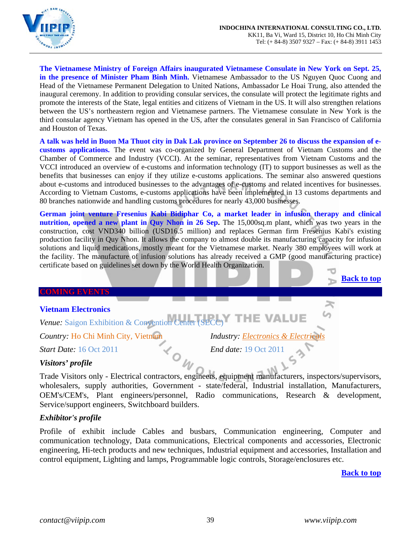

**The Vietnamese Ministry of Foreign Affairs inaugurated Vietnamese Consulate in New York on Sept. 25, in the presence of Minister Pham Binh Minh.** Vietnamese Ambassador to the US Nguyen Quoc Cuong and Head of the Vietnamese Permanent Delegation to United Nations, Ambassador Le Hoai Trung, also attended the inaugural ceremony. In addition to providing consular services, the consulate will protect the legitimate rights and promote the interests of the State, legal entities and citizens of Vietnam in the US. It will also strengthen relations between the US's northeastern region and Vietnamese partners. The Vietnamese consulate in New York is the third consular agency Vietnam has opened in the US, after the consulates general in San Francisco of California and Houston of Texas.

**A talk was held in Buon Ma Thuot city in Dak Lak province on September 26 to discuss the expansion of ecustoms applications.** The event was co-organized by General Department of Vietnam Customs and the Chamber of Commerce and Industry (VCCI). At the seminar, representatives from Vietnam Customs and the VCCI introduced an overview of e-customs and information technology (IT) to support businesses as well as the benefits that businesses can enjoy if they utilize e-customs applications. The seminar also answered questions about e-customs and introduced businesses to the advantages of e-customs and related incentives for businesses. According to Vietnam Customs, e-customs applications have been implemented in 13 customs departments and 80 branches nationwide and handling customs procedures for nearly 43,000 businesses.

**German joint venture Fresenius Kabi Bidiphar Co, a market leader in infusion therapy and clinical nutrition, opened a new plant in Quy Nhon in 26 Sep.** The 15,000sq.m plant, which was two years in the construction, cost VND340 billion (USD16.5 million) and replaces German firm Fresenius Kabi's existing production facility in Quy Nhon. It allows the company to almost double its manufacturing capacity for infusion solutions and liquid medications, mostly meant for the Vietnamese market. Nearly 380 employees will work at the facility. The manufacture of infusion solutions has already received a GMP (good manufacturing practice) certificate based on guidelines set down by the World Health Organization.

#### <span id="page-38-0"></span>**COMING EVENTS**

## **Vietnam Electronics**

<span id="page-38-1"></span>*Venue:* Saigon Exhibition & Convention Center (SECC)

*Country:* Ho Chi Minh City, Vietnam<br>*Start Date:* 16 Oct 2011<br>*End date:* 19 Oct 2011

*Start Date:* 16 Oct 2011 *End date:* 19 Oct 2011

#### *Visitors' profile*

Trade Visitors only - Electrical contractors, engineers, equipment manufacturers, inspectors/supervisors, wholesalers, supply authorities, Government - state/federal, Industrial installation, Manufacturers, OEM's/CEM's, Plant engineers/personnel, Radio communications, Research & development, Service/support engineers, Switchboard builders.

## *Exhibitor's profile*

Profile of exhibit include Cables and busbars, Communication engineering, Computer and communication technology, Data communications, Electrical components and accessories, Electronic engineering, Hi-tech products and new techniques, Industrial equipment and accessories, Installation and control equipment, Lighting and lamps, Programmable logic controls, Storage/enclosures etc.

**[Back to top](#page-0-0)**

**[Back to top](#page-0-0)**

≍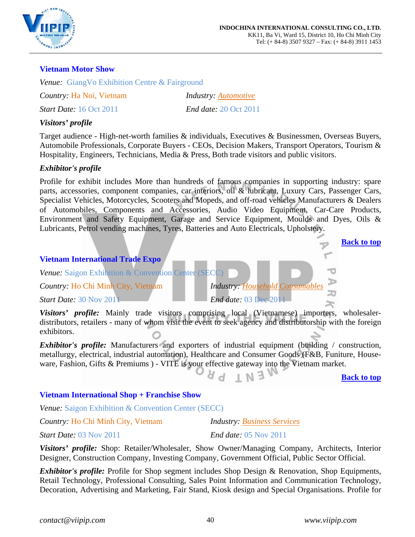

## <span id="page-39-0"></span>**Vietnam Motor Show**

*Venue:* GiangVo Exhibition Centre & Fairground

*Country:* Ha Noi, Vietnam *Industry: Automotive*

*Start Date:* 16 Oct 2011 *End date:* 20 Oct 2011

## *Visitors' profile*

Target audience - High-net-worth families & individuals, Executives & Businessmen, Overseas Buyers, Automobile Professionals, Corporate Buyers - CEOs, Decision Makers, Transport Operators, Tourism & Hospitality, Engineers, Technicians, Media & Press, Both trade visitors and public visitors.

## *Exhibitor's profile*

Profile for exhibit includes More than hundreds of famous companies in supporting industry: spare parts, accessories, component companies, car interiors, oil & lubricant, Luxury Cars, Passenger Cars, Specialist Vehicles, Motorcycles, Scooters and Mopeds, and off-road vehicles Manufacturers & Dealers of Automobiles, Components and Accessories, Audio Video Equipment, Car-Care Products, Environment and Safety Equipment, Garage and Service Equipment, Moulds and Dyes, Oils & Lubricants, Petrol vending machines, Tyres, Batteries and Auto Electricals, Upholstery.

# <span id="page-39-1"></span>**[Back to top](#page-0-0) Vietnam International Trade Expo** *Venue:* Saigon Exhibition & Convention Center (SECC) *Country:* Ho Chi Minh City, Vietnam *Industry: Household Consumables Start Date:* 30 Nov 2011 *End date:* 03 Dec 2011 *Visitors' profile:* Mainly trade visitors comprising local (Vietnamese) importers, wholesalerdistributors, retailers - many of whom visit the event to seek agency and distributorship with the foreign exhibitors. *Exhibitor's profile:* Manufacturers and exporters of industrial equipment (building / construction, metallurgy, electrical, industrial automation), Healthcare and Consumer Goods (F&B, Funiture, Houseware, Fashion, Gifts & Premiums ) - VITE is your effective gateway into the Vietnam market. **[Back to top](#page-0-0) Vietnam International Shop + Franchise Show**  *Venue:* Saigon Exhibition & Convention Center (SECC)

*Country:* Ho Chi Minh City, Vietnam *Industry: Business Services*

*Start Date:* 03 Nov 2011 *End date:* 05 Nov 2011

*Visitors' profile:* Shop: Retailer/Wholesaler, Show Owner/Managing Company, Architects, Interior Designer, Construction Company, Investing Company, Government Official, Public Sector Official.

*Exhibitor's profile:* Profile for Shop segment includes Shop Design & Renovation, Shop Equipments, Retail Technology, Professional Consulting, Sales Point Information and Communication Technology, Decoration, Advertising and Marketing, Fair Stand, Kiosk design and Special Organisations. Profile for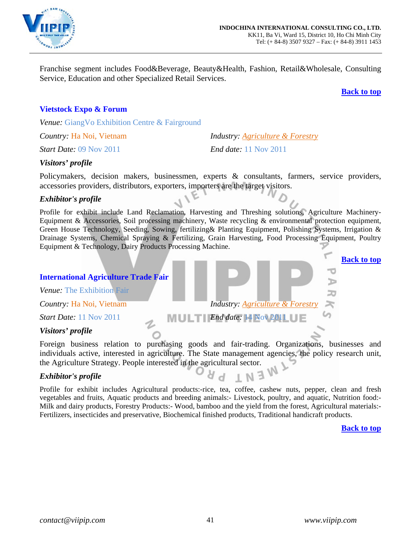

Franchise segment includes Food&Beverage, Beauty&Health, Fashion, Retail&Wholesale, Consulting Service, Education and other Specialized Retail Services.

**[Back to top](#page-0-0)**

**[Back to top](#page-0-0)**

## <span id="page-40-0"></span>**Vietstock Expo & Forum**

*Venue:* GiangVo Exhibition Centre & Fairground

*Start Date:* 09 Nov 2011 *End date:* 11 Nov 2011

*Country:* Ha Noi, Vietnam *Industry: Agriculture & Forestry*

## *Visitors' profile*

Policymakers, decision makers, businessmen, experts & consultants, farmers, service providers, accessories providers, distributors, exporters, importers are the target visitors.

## *Exhibitor's profile*

Profile for exhibit include Land Reclamation, Harvesting and Threshing solutions, Agriculture Machinery-Equipment & Accessories, Soil processing machinery, Waste recycling & environmental protection equipment, Green House Technology, Seeding, Sowing, fertilizing& Planting Equipment, Polishing Systems, Irrigation & Drainage Systems, Chemical Spraying & Fertilizing, Grain Harvesting, Food Processing Equipment, Poultry Equipment & Technology, Dairy Products Processing Machine.

#### <span id="page-40-1"></span>**International Agriculture Trade Fair**

*Venue:* The Exhibition Fair

*Country:* Ha Noi, Vietnam *Industry: Agriculture & Forestry*

**Start Date:** 11 Nov 2011 **IF IT End date:** 14 Nov 2011 **IF** 

## *Visitors' profile*

Foreign business relation to purchasing goods and fair-trading. Organizations, businesses and individuals active, interested in agriculture. The State management agencies, the policy research unit, the Agriculture Strategy. People interested in the agricultural sector.

## *Exhibitor's profile*

Profile for exhibit includes Agricultural products:-rice, tea, coffee, cashew nuts, pepper, clean and fresh vegetables and fruits, Aquatic products and breeding animals:- Livestock, poultry, and aquatic, Nutrition food:- Milk and dairy products, Forestry Products:- Wood, bamboo and the yield from the forest, Agricultural materials:- Fertilizers, insecticides and preservative, Biochemical finished products, Traditional handicraft products.

**[Back to top](#page-0-0)**